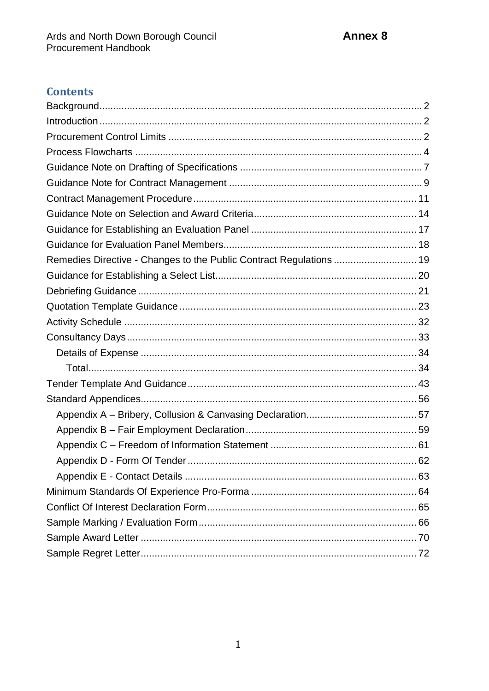### **Contents**

| Remedies Directive - Changes to the Public Contract Regulations  19 |  |
|---------------------------------------------------------------------|--|
|                                                                     |  |
|                                                                     |  |
|                                                                     |  |
|                                                                     |  |
|                                                                     |  |
|                                                                     |  |
|                                                                     |  |
|                                                                     |  |
|                                                                     |  |
|                                                                     |  |
|                                                                     |  |
|                                                                     |  |
|                                                                     |  |
|                                                                     |  |
|                                                                     |  |
|                                                                     |  |
|                                                                     |  |
|                                                                     |  |
|                                                                     |  |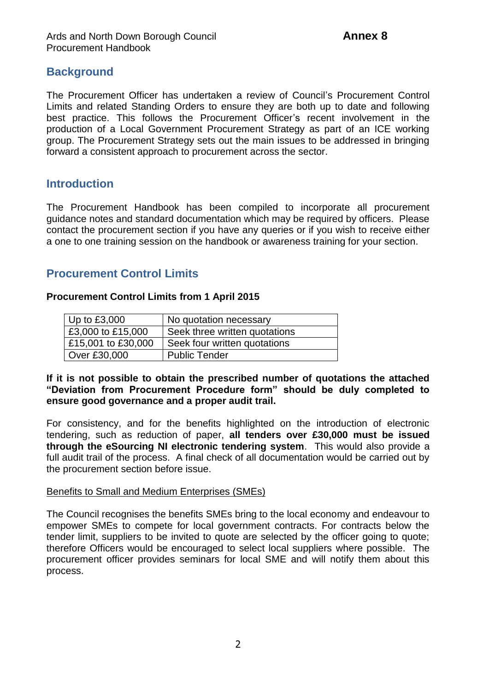### <span id="page-1-0"></span>**Background**

The Procurement Officer has undertaken a review of Council's Procurement Control Limits and related Standing Orders to ensure they are both up to date and following best practice. This follows the Procurement Officer's recent involvement in the production of a Local Government Procurement Strategy as part of an ICE working group. The Procurement Strategy sets out the main issues to be addressed in bringing forward a consistent approach to procurement across the sector.

### <span id="page-1-1"></span>**Introduction**

The Procurement Handbook has been compiled to incorporate all procurement guidance notes and standard documentation which may be required by officers. Please contact the procurement section if you have any queries or if you wish to receive either a one to one training session on the handbook or awareness training for your section.

### <span id="page-1-2"></span>**Procurement Control Limits**

### **Procurement Control Limits from 1 April 2015**

| Up to $£3,000$     | No quotation necessary        |
|--------------------|-------------------------------|
| £3,000 to £15,000  | Seek three written quotations |
| £15,001 to £30,000 | Seek four written quotations  |
| Over £30,000       | <b>Public Tender</b>          |

### **If it is not possible to obtain the prescribed number of quotations the attached "Deviation from Procurement Procedure form" should be duly completed to ensure good governance and a proper audit trail.**

For consistency, and for the benefits highlighted on the introduction of electronic tendering, such as reduction of paper, **all tenders over £30,000 must be issued through the eSourcing NI electronic tendering system**. This would also provide a full audit trail of the process. A final check of all documentation would be carried out by the procurement section before issue.

### Benefits to Small and Medium Enterprises (SMEs)

The Council recognises the benefits SMEs bring to the local economy and endeavour to empower SMEs to compete for local government contracts. For contracts below the tender limit, suppliers to be invited to quote are selected by the officer going to quote; therefore Officers would be encouraged to select local suppliers where possible. The procurement officer provides seminars for local SME and will notify them about this process.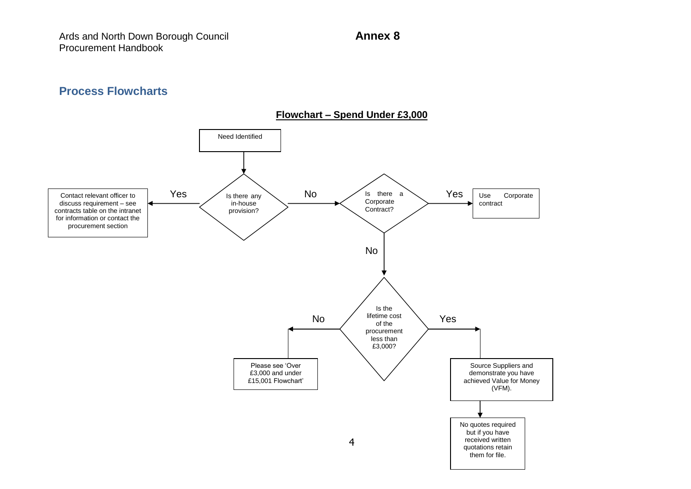### **Process Flowcharts**

<span id="page-3-0"></span>

**Flowchart – Spend Under £3,000**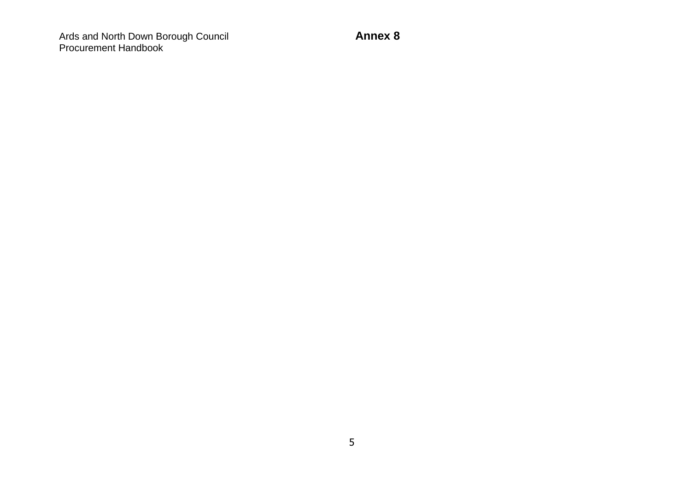Ards and North Down Borough Council **Annex 8 Annex 8** Procurement Handbook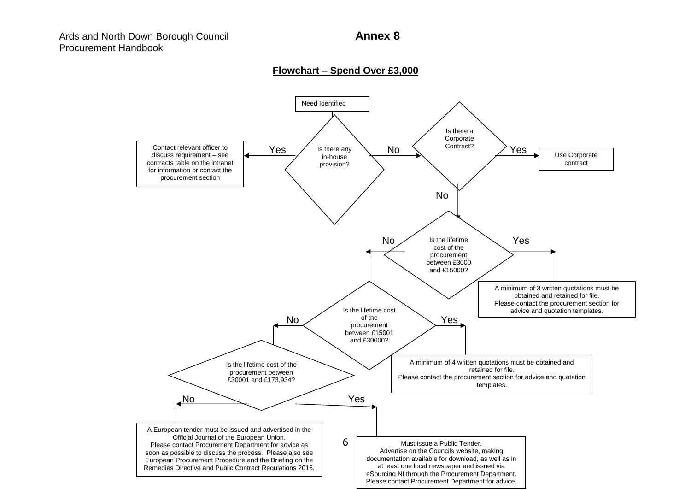### Ards and North Down Borough Council **Annex 8** Procurement Handbook

### **Flowchart – Spend Over £3,000**

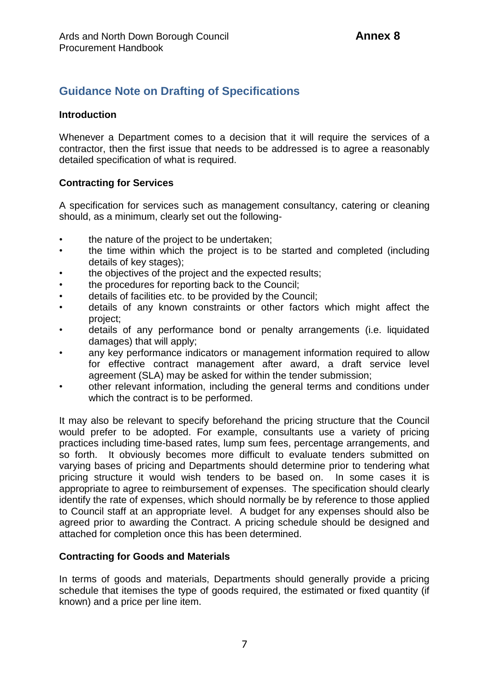### <span id="page-6-0"></span>**Guidance Note on Drafting of Specifications**

### **Introduction**

Whenever a Department comes to a decision that it will require the services of a contractor, then the first issue that needs to be addressed is to agree a reasonably detailed specification of what is required.

### **Contracting for Services**

A specification for services such as management consultancy, catering or cleaning should, as a minimum, clearly set out the following-

- the nature of the project to be undertaken:
- the time within which the project is to be started and completed (including details of key stages);
- the objectives of the project and the expected results;
- the procedures for reporting back to the Council;
- details of facilities etc. to be provided by the Council;
- details of any known constraints or other factors which might affect the project;
- details of any performance bond or penalty arrangements (i.e. liquidated damages) that will apply;
- any key performance indicators or management information required to allow for effective contract management after award, a draft service level agreement (SLA) may be asked for within the tender submission;
- other relevant information, including the general terms and conditions under which the contract is to be performed.

It may also be relevant to specify beforehand the pricing structure that the Council would prefer to be adopted. For example, consultants use a variety of pricing practices including time-based rates, lump sum fees, percentage arrangements, and so forth. It obviously becomes more difficult to evaluate tenders submitted on varying bases of pricing and Departments should determine prior to tendering what pricing structure it would wish tenders to be based on. In some cases it is appropriate to agree to reimbursement of expenses. The specification should clearly identify the rate of expenses, which should normally be by reference to those applied to Council staff at an appropriate level. A budget for any expenses should also be agreed prior to awarding the Contract. A pricing schedule should be designed and attached for completion once this has been determined.

### **Contracting for Goods and Materials**

In terms of goods and materials, Departments should generally provide a pricing schedule that itemises the type of goods required, the estimated or fixed quantity (if known) and a price per line item.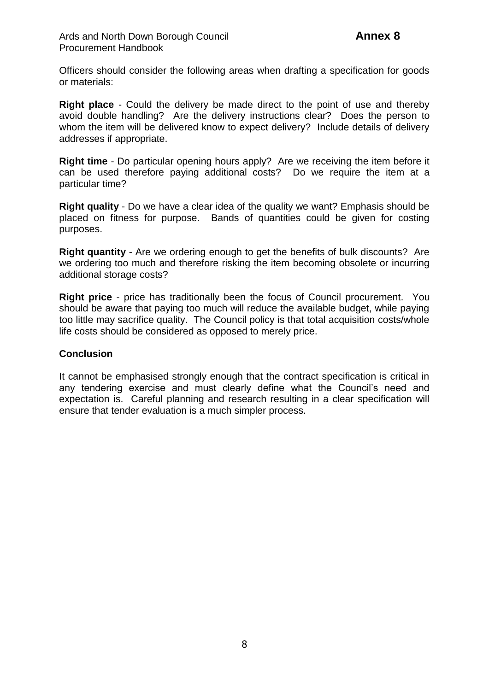Officers should consider the following areas when drafting a specification for goods or materials:

**Right place** - Could the delivery be made direct to the point of use and thereby avoid double handling? Are the delivery instructions clear? Does the person to whom the item will be delivered know to expect delivery? Include details of delivery addresses if appropriate.

**Right time** - Do particular opening hours apply? Are we receiving the item before it can be used therefore paying additional costs? Do we require the item at a particular time?

**Right quality** - Do we have a clear idea of the quality we want? Emphasis should be placed on fitness for purpose. Bands of quantities could be given for costing purposes.

**Right quantity** - Are we ordering enough to get the benefits of bulk discounts? Are we ordering too much and therefore risking the item becoming obsolete or incurring additional storage costs?

**Right price** - price has traditionally been the focus of Council procurement. You should be aware that paying too much will reduce the available budget, while paying too little may sacrifice quality. The Council policy is that total acquisition costs/whole life costs should be considered as opposed to merely price.

### **Conclusion**

It cannot be emphasised strongly enough that the contract specification is critical in any tendering exercise and must clearly define what the Council's need and expectation is. Careful planning and research resulting in a clear specification will ensure that tender evaluation is a much simpler process.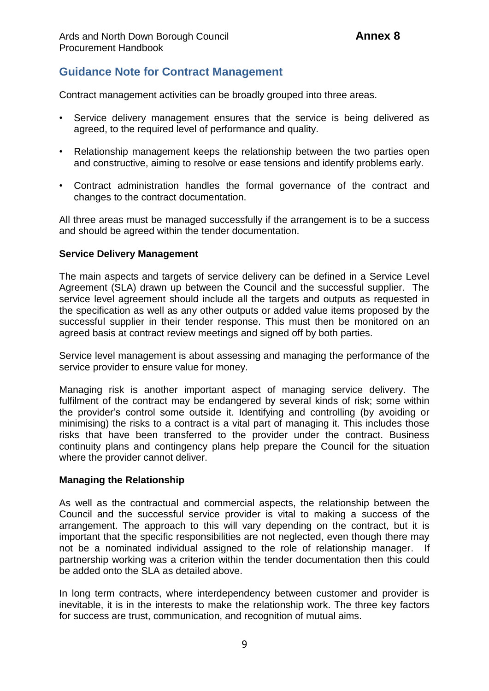### <span id="page-8-0"></span>**Guidance Note for Contract Management**

Contract management activities can be broadly grouped into three areas.

- Service delivery management ensures that the service is being delivered as agreed, to the required level of performance and quality.
- Relationship management keeps the relationship between the two parties open and constructive, aiming to resolve or ease tensions and identify problems early.
- Contract administration handles the formal governance of the contract and changes to the contract documentation.

All three areas must be managed successfully if the arrangement is to be a success and should be agreed within the tender documentation.

#### **Service Delivery Management**

The main aspects and targets of service delivery can be defined in a Service Level Agreement (SLA) drawn up between the Council and the successful supplier. The service level agreement should include all the targets and outputs as requested in the specification as well as any other outputs or added value items proposed by the successful supplier in their tender response. This must then be monitored on an agreed basis at contract review meetings and signed off by both parties.

Service level management is about assessing and managing the performance of the service provider to ensure value for money.

Managing risk is another important aspect of managing service delivery. The fulfilment of the contract may be endangered by several kinds of risk; some within the provider's control some outside it. Identifying and controlling (by avoiding or minimising) the risks to a contract is a vital part of managing it. This includes those risks that have been transferred to the provider under the contract. Business continuity plans and contingency plans help prepare the Council for the situation where the provider cannot deliver.

#### **Managing the Relationship**

As well as the contractual and commercial aspects, the relationship between the Council and the successful service provider is vital to making a success of the arrangement. The approach to this will vary depending on the contract, but it is important that the specific responsibilities are not neglected, even though there may not be a nominated individual assigned to the role of relationship manager. If partnership working was a criterion within the tender documentation then this could be added onto the SLA as detailed above.

In long term contracts, where interdependency between customer and provider is inevitable, it is in the interests to make the relationship work. The three key factors for success are trust, communication, and recognition of mutual aims.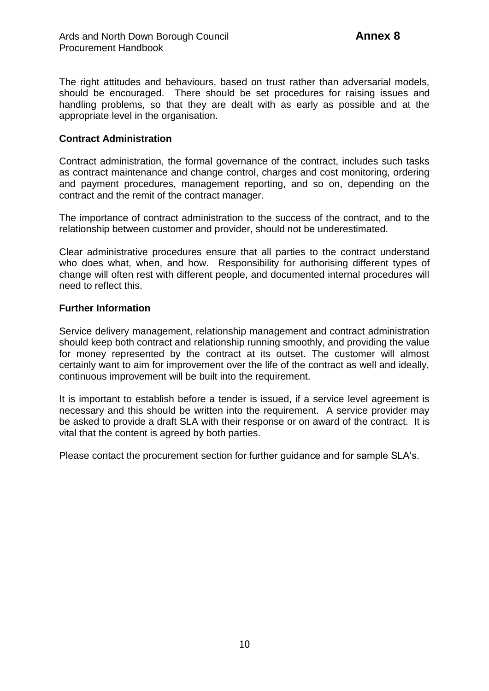The right attitudes and behaviours, based on trust rather than adversarial models, should be encouraged. There should be set procedures for raising issues and handling problems, so that they are dealt with as early as possible and at the appropriate level in the organisation.

### **Contract Administration**

Contract administration, the formal governance of the contract, includes such tasks as contract maintenance and change control, charges and cost monitoring, ordering and payment procedures, management reporting, and so on, depending on the contract and the remit of the contract manager.

The importance of contract administration to the success of the contract, and to the relationship between customer and provider, should not be underestimated.

Clear administrative procedures ensure that all parties to the contract understand who does what, when, and how. Responsibility for authorising different types of change will often rest with different people, and documented internal procedures will need to reflect this.

### **Further Information**

Service delivery management, relationship management and contract administration should keep both contract and relationship running smoothly, and providing the value for money represented by the contract at its outset. The customer will almost certainly want to aim for improvement over the life of the contract as well and ideally, continuous improvement will be built into the requirement.

It is important to establish before a tender is issued, if a service level agreement is necessary and this should be written into the requirement. A service provider may be asked to provide a draft SLA with their response or on award of the contract. It is vital that the content is agreed by both parties.

Please contact the procurement section for further guidance and for sample SLA's.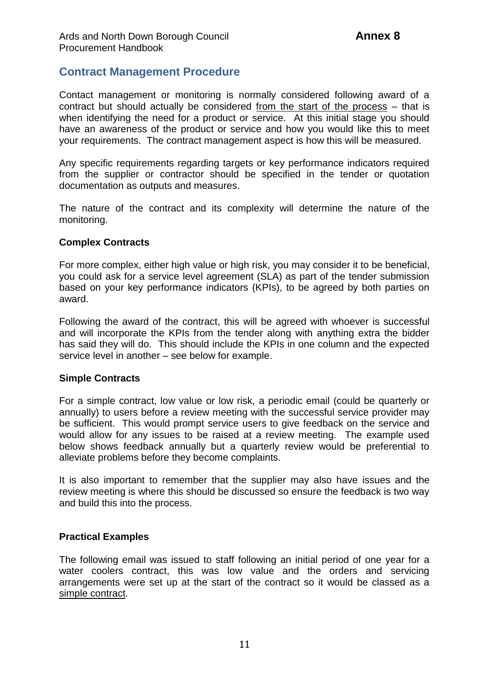### <span id="page-10-0"></span>**Contract Management Procedure**

Contact management or monitoring is normally considered following award of a contract but should actually be considered from the start of the process – that is when identifying the need for a product or service. At this initial stage you should have an awareness of the product or service and how you would like this to meet your requirements. The contract management aspect is how this will be measured.

Any specific requirements regarding targets or key performance indicators required from the supplier or contractor should be specified in the tender or quotation documentation as outputs and measures.

The nature of the contract and its complexity will determine the nature of the monitoring.

#### **Complex Contracts**

For more complex, either high value or high risk, you may consider it to be beneficial, you could ask for a service level agreement (SLA) as part of the tender submission based on your key performance indicators (KPIs), to be agreed by both parties on award.

Following the award of the contract, this will be agreed with whoever is successful and will incorporate the KPIs from the tender along with anything extra the bidder has said they will do. This should include the KPIs in one column and the expected service level in another – see below for example.

#### **Simple Contracts**

For a simple contract, low value or low risk, a periodic email (could be quarterly or annually) to users before a review meeting with the successful service provider may be sufficient. This would prompt service users to give feedback on the service and would allow for any issues to be raised at a review meeting. The example used below shows feedback annually but a quarterly review would be preferential to alleviate problems before they become complaints.

It is also important to remember that the supplier may also have issues and the review meeting is where this should be discussed so ensure the feedback is two way and build this into the process.

### **Practical Examples**

The following email was issued to staff following an initial period of one year for a water coolers contract, this was low value and the orders and servicing arrangements were set up at the start of the contract so it would be classed as a simple contract.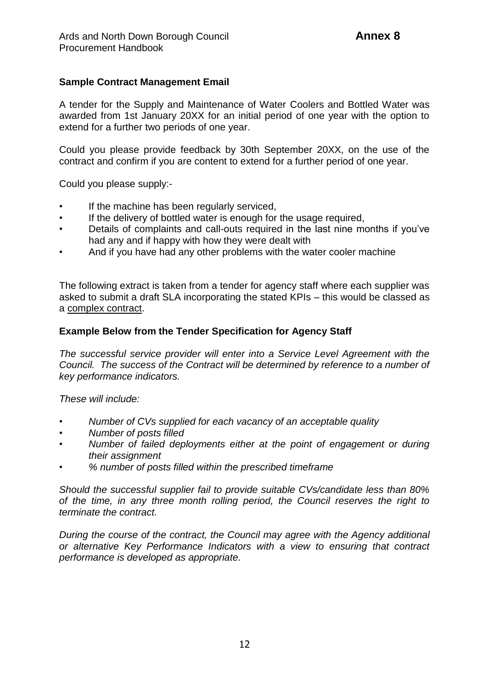### **Sample Contract Management Email**

A tender for the Supply and Maintenance of Water Coolers and Bottled Water was awarded from 1st January 20XX for an initial period of one year with the option to extend for a further two periods of one year.

Could you please provide feedback by 30th September 20XX, on the use of the contract and confirm if you are content to extend for a further period of one year.

Could you please supply:-

- If the machine has been regularly serviced,
- If the delivery of bottled water is enough for the usage required,
- Details of complaints and call-outs required in the last nine months if you've had any and if happy with how they were dealt with
- And if you have had any other problems with the water cooler machine

The following extract is taken from a tender for agency staff where each supplier was asked to submit a draft SLA incorporating the stated KPIs – this would be classed as a complex contract.

#### **Example Below from the Tender Specification for Agency Staff**

*The successful service provider will enter into a Service Level Agreement with the Council. The success of the Contract will be determined by reference to a number of key performance indicators.*

*These will include:*

- *• Number of CVs supplied for each vacancy of an acceptable quality*
- *• Number of posts filled*
- *• Number of failed deployments either at the point of engagement or during their assignment*
- *• % number of posts filled within the prescribed timeframe*

*Should the successful supplier fail to provide suitable CVs/candidate less than 80% of the time, in any three month rolling period, the Council reserves the right to terminate the contract.* 

*During the course of the contract, the Council may agree with the Agency additional or alternative Key Performance Indicators with a view to ensuring that contract performance is developed as appropriate.*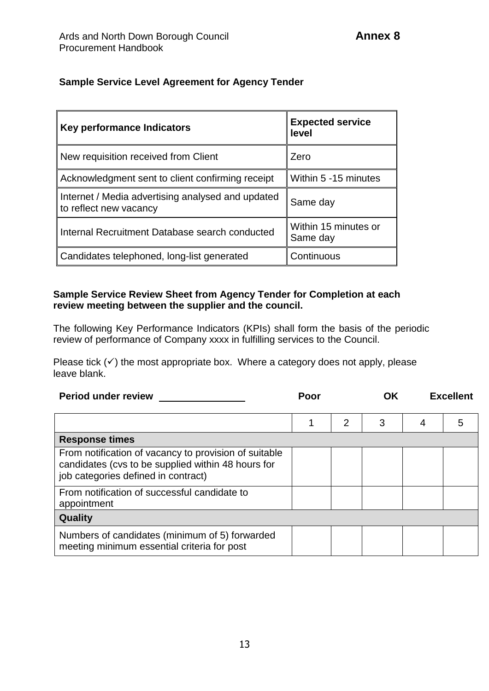### **Sample Service Level Agreement for Agency Tender**

| Key performance Indicators                                                  | <b>Expected service</b><br>level |
|-----------------------------------------------------------------------------|----------------------------------|
| New requisition received from Client                                        | Zero                             |
| Acknowledgment sent to client confirming receipt                            | Within 5 -15 minutes             |
| Internet / Media advertising analysed and updated<br>to reflect new vacancy | Same day                         |
| Internal Recruitment Database search conducted                              | Within 15 minutes or<br>Same day |
| Candidates telephoned, long-list generated                                  | Continuous                       |

### **Sample Service Review Sheet from Agency Tender for Completion at each review meeting between the supplier and the council.**

The following Key Performance Indicators (KPIs) shall form the basis of the periodic review of performance of Company xxxx in fulfilling services to the Council.

Please tick  $(\checkmark)$  the most appropriate box. Where a category does not apply, please leave blank.

| <b>Period under review</b>                                                                                                                         | Poor |   | ΩK |   | <b>Excellent</b> |
|----------------------------------------------------------------------------------------------------------------------------------------------------|------|---|----|---|------------------|
|                                                                                                                                                    |      | 2 | 3  | 4 | 5                |
| <b>Response times</b>                                                                                                                              |      |   |    |   |                  |
| From notification of vacancy to provision of suitable<br>candidates (cvs to be supplied within 48 hours for<br>job categories defined in contract) |      |   |    |   |                  |
| From notification of successful candidate to<br>appointment                                                                                        |      |   |    |   |                  |
| <b>Quality</b>                                                                                                                                     |      |   |    |   |                  |
| Numbers of candidates (minimum of 5) forwarded<br>meeting minimum essential criteria for post                                                      |      |   |    |   |                  |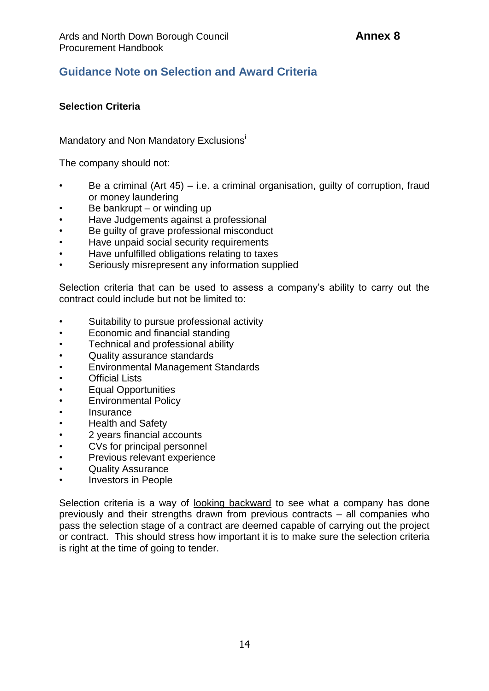### <span id="page-13-0"></span>**Guidance Note on Selection and Award Criteria**

### **Selection Criteria**

Mandatory and Non Mandatory Exclusions<sup>i</sup>

The company should not:

- Be a criminal (Art 45) i.e. a criminal organisation, guilty of corruption, fraud or money laundering
- Be bankrupt or winding up
- Have Judgements against a professional
- Be quilty of grave professional misconduct
- Have unpaid social security requirements
- Have unfulfilled obligations relating to taxes
- Seriously misrepresent any information supplied

Selection criteria that can be used to assess a company's ability to carry out the contract could include but not be limited to:

- Suitability to pursue professional activity
- Economic and financial standing
- Technical and professional ability
- Quality assurance standards
- Environmental Management Standards
- **Official Lists**
- Equal Opportunities
- Environmental Policy
- Insurance
- Health and Safety
- 2 years financial accounts
- CVs for principal personnel
- Previous relevant experience
- Quality Assurance
- Investors in People

Selection criteria is a way of looking backward to see what a company has done previously and their strengths drawn from previous contracts – all companies who pass the selection stage of a contract are deemed capable of carrying out the project or contract. This should stress how important it is to make sure the selection criteria is right at the time of going to tender.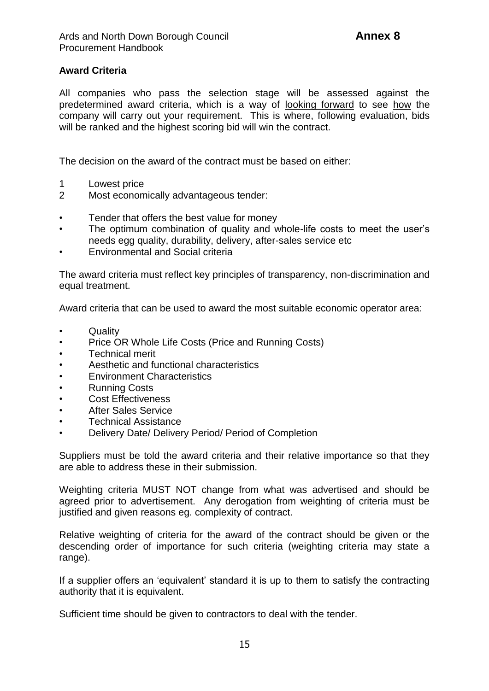### **Award Criteria**

All companies who pass the selection stage will be assessed against the predetermined award criteria, which is a way of looking forward to see how the company will carry out your requirement. This is where, following evaluation, bids will be ranked and the highest scoring bid will win the contract.

The decision on the award of the contract must be based on either:

- 1 Lowest price
- 2 Most economically advantageous tender:
- Tender that offers the best value for money
- The optimum combination of quality and whole-life costs to meet the user's needs egg quality, durability, delivery, after-sales service etc
- Environmental and Social criteria

The award criteria must reflect key principles of transparency, non-discrimination and equal treatment.

Award criteria that can be used to award the most suitable economic operator area:

- Quality
- Price OR Whole Life Costs (Price and Running Costs)
- Technical merit
- Aesthetic and functional characteristics
- Environment Characteristics
- Running Costs
- Cost Effectiveness
- After Sales Service
- Technical Assistance
- Delivery Date/ Delivery Period/ Period of Completion

Suppliers must be told the award criteria and their relative importance so that they are able to address these in their submission.

Weighting criteria MUST NOT change from what was advertised and should be agreed prior to advertisement. Any derogation from weighting of criteria must be justified and given reasons eg. complexity of contract.

Relative weighting of criteria for the award of the contract should be given or the descending order of importance for such criteria (weighting criteria may state a range).

If a supplier offers an 'equivalent' standard it is up to them to satisfy the contracting authority that it is equivalent.

Sufficient time should be given to contractors to deal with the tender.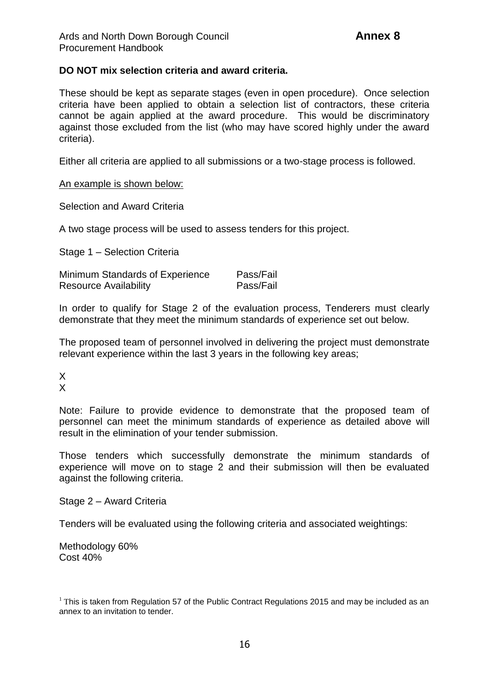### **DO NOT mix selection criteria and award criteria.**

These should be kept as separate stages (even in open procedure). Once selection criteria have been applied to obtain a selection list of contractors, these criteria cannot be again applied at the award procedure. This would be discriminatory against those excluded from the list (who may have scored highly under the award criteria).

Either all criteria are applied to all submissions or a two-stage process is followed.

#### An example is shown below:

Selection and Award Criteria

A two stage process will be used to assess tenders for this project.

Stage 1 – Selection Criteria

Minimum Standards of Experience Pass/Fail Resource Availability **Pass** Pass Pass Pass Availability

In order to qualify for Stage 2 of the evaluation process, Tenderers must clearly demonstrate that they meet the minimum standards of experience set out below.

The proposed team of personnel involved in delivering the project must demonstrate relevant experience within the last 3 years in the following key areas;

X X

Note: Failure to provide evidence to demonstrate that the proposed team of personnel can meet the minimum standards of experience as detailed above will result in the elimination of your tender submission.

Those tenders which successfully demonstrate the minimum standards of experience will move on to stage 2 and their submission will then be evaluated against the following criteria.

Stage 2 – Award Criteria

Tenders will be evaluated using the following criteria and associated weightings:

Methodology 60% Cost 40%

 $1$  This is taken from Regulation 57 of the Public Contract Regulations 2015 and may be included as an annex to an invitation to tender.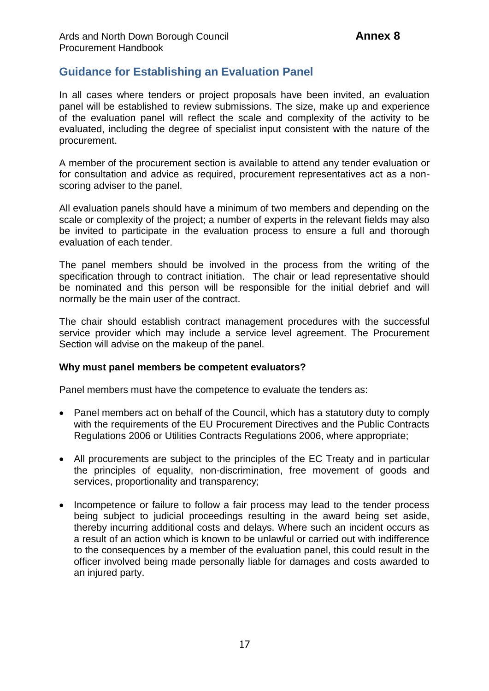### <span id="page-16-0"></span>**Guidance for Establishing an Evaluation Panel**

In all cases where tenders or project proposals have been invited, an evaluation panel will be established to review submissions. The size, make up and experience of the evaluation panel will reflect the scale and complexity of the activity to be evaluated, including the degree of specialist input consistent with the nature of the procurement.

A member of the procurement section is available to attend any tender evaluation or for consultation and advice as required, procurement representatives act as a nonscoring adviser to the panel.

All evaluation panels should have a minimum of two members and depending on the scale or complexity of the project; a number of experts in the relevant fields may also be invited to participate in the evaluation process to ensure a full and thorough evaluation of each tender.

The panel members should be involved in the process from the writing of the specification through to contract initiation. The chair or lead representative should be nominated and this person will be responsible for the initial debrief and will normally be the main user of the contract.

The chair should establish contract management procedures with the successful service provider which may include a service level agreement. The Procurement Section will advise on the makeup of the panel.

### **Why must panel members be competent evaluators?**

Panel members must have the competence to evaluate the tenders as:

- Panel members act on behalf of the Council, which has a statutory duty to comply with the requirements of the EU Procurement Directives and the Public Contracts Regulations 2006 or Utilities Contracts Regulations 2006, where appropriate;
- All procurements are subject to the principles of the EC Treaty and in particular the principles of equality, non-discrimination, free movement of goods and services, proportionality and transparency;
- Incompetence or failure to follow a fair process may lead to the tender process being subject to judicial proceedings resulting in the award being set aside, thereby incurring additional costs and delays. Where such an incident occurs as a result of an action which is known to be unlawful or carried out with indifference to the consequences by a member of the evaluation panel, this could result in the officer involved being made personally liable for damages and costs awarded to an injured party.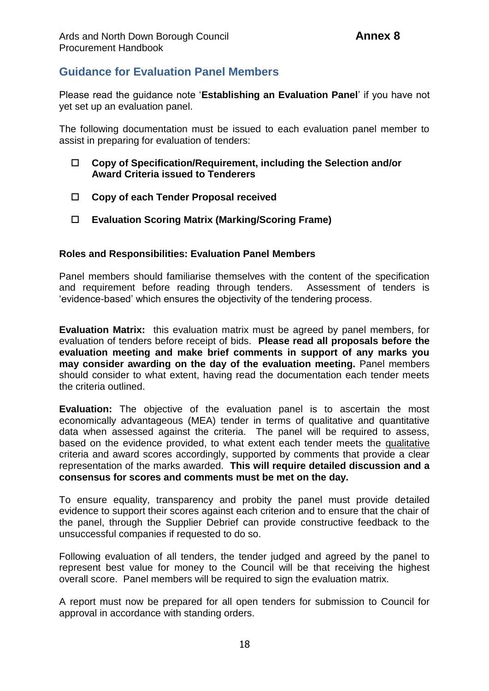### <span id="page-17-0"></span>**Guidance for Evaluation Panel Members**

Please read the guidance note '**Establishing an Evaluation Panel**' if you have not yet set up an evaluation panel.

The following documentation must be issued to each evaluation panel member to assist in preparing for evaluation of tenders:

- **Copy of Specification/Requirement, including the Selection and/or Award Criteria issued to Tenderers**
- **Copy of each Tender Proposal received**
- **Evaluation Scoring Matrix (Marking/Scoring Frame)**

### **Roles and Responsibilities: Evaluation Panel Members**

Panel members should familiarise themselves with the content of the specification and requirement before reading through tenders. Assessment of tenders is 'evidence-based' which ensures the objectivity of the tendering process.

**Evaluation Matrix:** this evaluation matrix must be agreed by panel members, for evaluation of tenders before receipt of bids. **Please read all proposals before the evaluation meeting and make brief comments in support of any marks you may consider awarding on the day of the evaluation meeting.** Panel members should consider to what extent, having read the documentation each tender meets the criteria outlined.

**Evaluation:** The objective of the evaluation panel is to ascertain the most economically advantageous (MEA) tender in terms of qualitative and quantitative data when assessed against the criteria. The panel will be required to assess, based on the evidence provided, to what extent each tender meets the qualitative criteria and award scores accordingly, supported by comments that provide a clear representation of the marks awarded. **This will require detailed discussion and a consensus for scores and comments must be met on the day.**

To ensure equality, transparency and probity the panel must provide detailed evidence to support their scores against each criterion and to ensure that the chair of the panel, through the Supplier Debrief can provide constructive feedback to the unsuccessful companies if requested to do so.

Following evaluation of all tenders, the tender judged and agreed by the panel to represent best value for money to the Council will be that receiving the highest overall score. Panel members will be required to sign the evaluation matrix.

A report must now be prepared for all open tenders for submission to Council for approval in accordance with standing orders.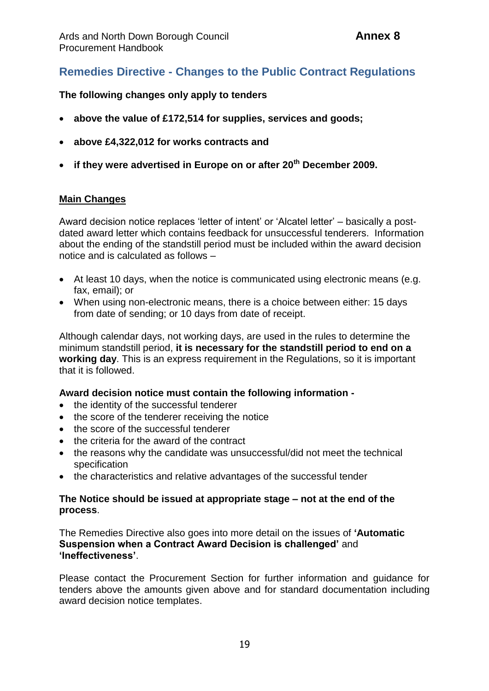### <span id="page-18-0"></span>**Remedies Directive - Changes to the Public Contract Regulations**

### **The following changes only apply to tenders**

- **above the value of £172,514 for supplies, services and goods;**
- **above £4,322,012 for works contracts and**
- **if they were advertised in Europe on or after 20th December 2009.**

### **Main Changes**

Award decision notice replaces 'letter of intent' or 'Alcatel letter' – basically a postdated award letter which contains feedback for unsuccessful tenderers. Information about the ending of the standstill period must be included within the award decision notice and is calculated as follows –

- At least 10 days, when the notice is communicated using electronic means (e.g. fax, email); or
- When using non-electronic means, there is a choice between either: 15 days from date of sending; or 10 days from date of receipt.

Although calendar days, not working days, are used in the rules to determine the minimum standstill period, **it is necessary for the standstill period to end on a working day**. This is an express requirement in the Regulations, so it is important that it is followed.

### **Award decision notice must contain the following information -**

- the identity of the successful tenderer
- the score of the tenderer receiving the notice
- the score of the successful tenderer
- the criteria for the award of the contract
- the reasons why the candidate was unsuccessful/did not meet the technical specification
- the characteristics and relative advantages of the successful tender

#### **The Notice should be issued at appropriate stage – not at the end of the process**.

The Remedies Directive also goes into more detail on the issues of **'Automatic Suspension when a Contract Award Decision is challenged'** and **'Ineffectiveness'**.

Please contact the Procurement Section for further information and guidance for tenders above the amounts given above and for standard documentation including award decision notice templates.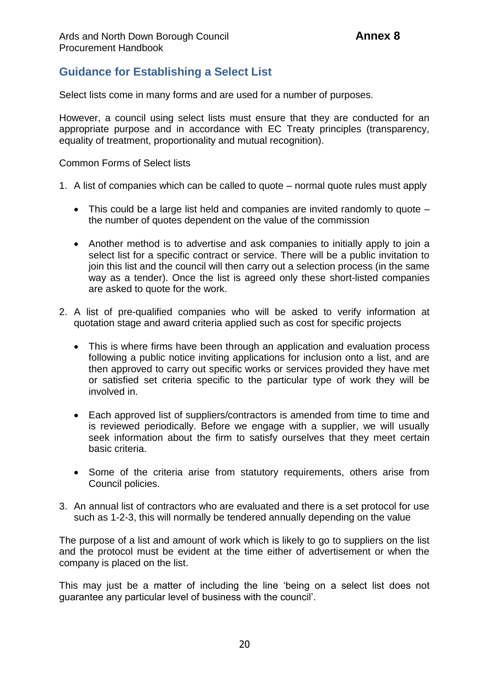### <span id="page-19-0"></span>**Guidance for Establishing a Select List**

Select lists come in many forms and are used for a number of purposes.

However, a council using select lists must ensure that they are conducted for an appropriate purpose and in accordance with EC Treaty principles (transparency, equality of treatment, proportionality and mutual recognition).

Common Forms of Select lists

- 1. A list of companies which can be called to quote normal quote rules must apply
	- This could be a large list held and companies are invited randomly to quote the number of quotes dependent on the value of the commission
	- Another method is to advertise and ask companies to initially apply to join a select list for a specific contract or service. There will be a public invitation to join this list and the council will then carry out a selection process (in the same way as a tender). Once the list is agreed only these short-listed companies are asked to quote for the work.
- 2. A list of pre-qualified companies who will be asked to verify information at quotation stage and award criteria applied such as cost for specific projects
	- This is where firms have been through an application and evaluation process following a public notice inviting applications for inclusion onto a list, and are then approved to carry out specific works or services provided they have met or satisfied set criteria specific to the particular type of work they will be involved in.
	- Each approved list of suppliers/contractors is amended from time to time and is reviewed periodically. Before we engage with a supplier, we will usually seek information about the firm to satisfy ourselves that they meet certain basic criteria.
	- Some of the criteria arise from statutory requirements, others arise from Council policies.
- 3. An annual list of contractors who are evaluated and there is a set protocol for use such as 1-2-3, this will normally be tendered annually depending on the value

The purpose of a list and amount of work which is likely to go to suppliers on the list and the protocol must be evident at the time either of advertisement or when the company is placed on the list.

This may just be a matter of including the line 'being on a select list does not guarantee any particular level of business with the council'.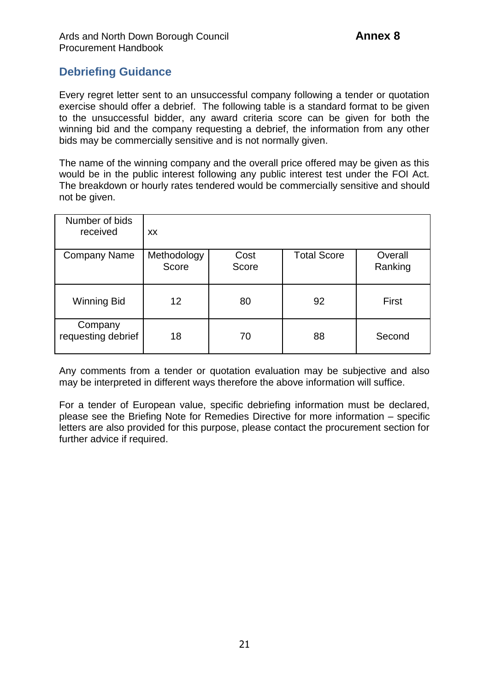### <span id="page-20-0"></span>**Debriefing Guidance**

Every regret letter sent to an unsuccessful company following a tender or quotation exercise should offer a debrief. The following table is a standard format to be given to the unsuccessful bidder, any award criteria score can be given for both the winning bid and the company requesting a debrief, the information from any other bids may be commercially sensitive and is not normally given.

The name of the winning company and the overall price offered may be given as this would be in the public interest following any public interest test under the FOI Act. The breakdown or hourly rates tendered would be commercially sensitive and should not be given.

| Number of bids<br>received    | XX                   |               |                    |                    |
|-------------------------------|----------------------|---------------|--------------------|--------------------|
| <b>Company Name</b>           | Methodology<br>Score | Cost<br>Score | <b>Total Score</b> | Overall<br>Ranking |
| <b>Winning Bid</b>            | 12                   | 80            | 92                 | First              |
| Company<br>requesting debrief | 18                   | 70            | 88                 | Second             |

Any comments from a tender or quotation evaluation may be subjective and also may be interpreted in different ways therefore the above information will suffice.

For a tender of European value, specific debriefing information must be declared, please see the Briefing Note for Remedies Directive for more information – specific letters are also provided for this purpose, please contact the procurement section for further advice if required.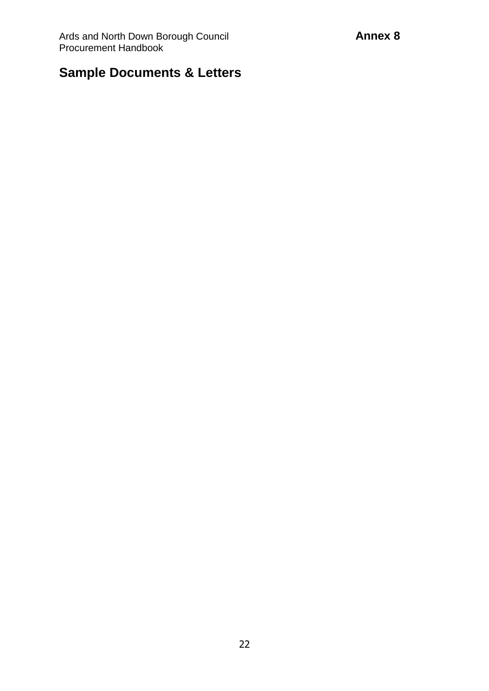# **Sample Documents & Letters**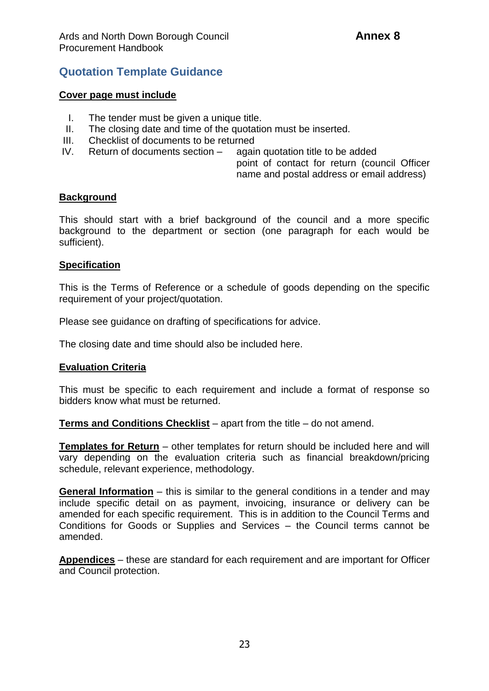### <span id="page-22-0"></span>**Quotation Template Guidance**

#### **Cover page must include**

- I. The tender must be given a unique title.
- II. The closing date and time of the quotation must be inserted.
- III. Checklist of documents to be returned
- IV. Return of documents section again quotation title to be added

point of contact for return (council Officer name and postal address or email address)

#### **Background**

This should start with a brief background of the council and a more specific background to the department or section (one paragraph for each would be sufficient).

#### **Specification**

This is the Terms of Reference or a schedule of goods depending on the specific requirement of your project/quotation.

Please see guidance on drafting of specifications for advice.

The closing date and time should also be included here.

### **Evaluation Criteria**

This must be specific to each requirement and include a format of response so bidders know what must be returned.

**Terms and Conditions Checklist** – apart from the title – do not amend.

**Templates for Return** – other templates for return should be included here and will vary depending on the evaluation criteria such as financial breakdown/pricing schedule, relevant experience, methodology.

**General Information** – this is similar to the general conditions in a tender and may include specific detail on as payment, invoicing, insurance or delivery can be amended for each specific requirement. This is in addition to the Council Terms and Conditions for Goods or Supplies and Services – the Council terms cannot be amended.

**Appendices** – these are standard for each requirement and are important for Officer and Council protection.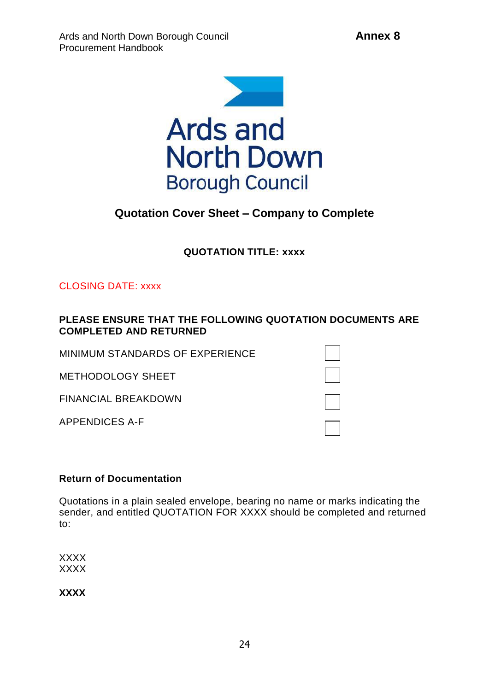

## **Quotation Cover Sheet – Company to Complete**

### **QUOTATION TITLE: xxxx**

CLOSING DATE: xxxx

### **PLEASE ENSURE THAT THE FOLLOWING QUOTATION DOCUMENTS ARE COMPLETED AND RETURNED**

MINIMUM STANDARDS OF EXPERIENCE

METHODOLOGY SHEET

FINANCIAL BREAKDOWN

APPENDICES A-F

### **Return of Documentation**

Quotations in a plain sealed envelope, bearing no name or marks indicating the sender, and entitled QUOTATION FOR XXXX should be completed and returned to:

**XXXX** XXXX

**XXXX**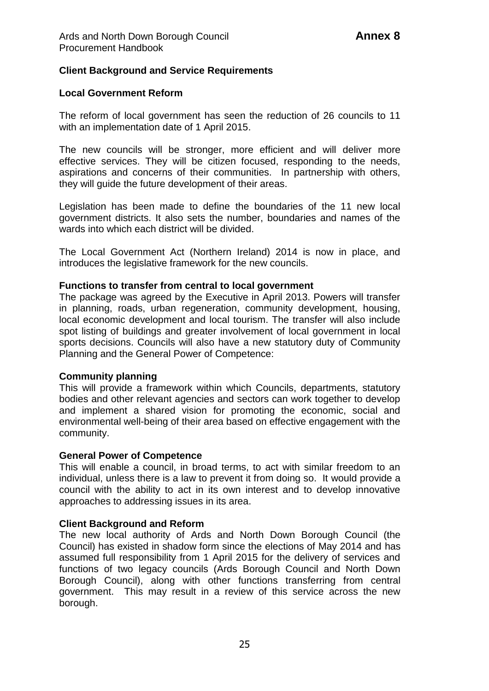### **Client Background and Service Requirements**

### **Local Government Reform**

The reform of local government has seen the reduction of 26 councils to 11 with an implementation date of 1 April 2015.

The new councils will be stronger, more efficient and will deliver more effective services. They will be citizen focused, responding to the needs, aspirations and concerns of their communities. In partnership with others, they will guide the future development of their areas.

Legislation has been made to define the boundaries of the 11 new local government districts. It also sets the number, boundaries and names of the wards into which each district will be divided.

The Local Government Act (Northern Ireland) 2014 is now in place, and introduces the legislative framework for the new councils.

#### **Functions to transfer from central to local government**

The package was agreed by the Executive in April 2013. Powers will transfer in planning, roads, urban regeneration, community development, housing, local economic development and local tourism. The transfer will also include spot listing of buildings and greater involvement of local government in local sports decisions. Councils will also have a new statutory duty of Community Planning and the General Power of Competence:

#### **Community planning**

This will provide a framework within which Councils, departments, statutory bodies and other relevant agencies and sectors can work together to develop and implement a shared vision for promoting the economic, social and environmental well-being of their area based on effective engagement with the community.

#### **General Power of Competence**

This will enable a council, in broad terms, to act with similar freedom to an individual, unless there is a law to prevent it from doing so. It would provide a council with the ability to act in its own interest and to develop innovative approaches to addressing issues in its area.

#### **Client Background and Reform**

The new local authority of Ards and North Down Borough Council (the Council) has existed in shadow form since the elections of May 2014 and has assumed full responsibility from 1 April 2015 for the delivery of services and functions of two legacy councils (Ards Borough Council and North Down Borough Council), along with other functions transferring from central government. This may result in a review of this service across the new borough.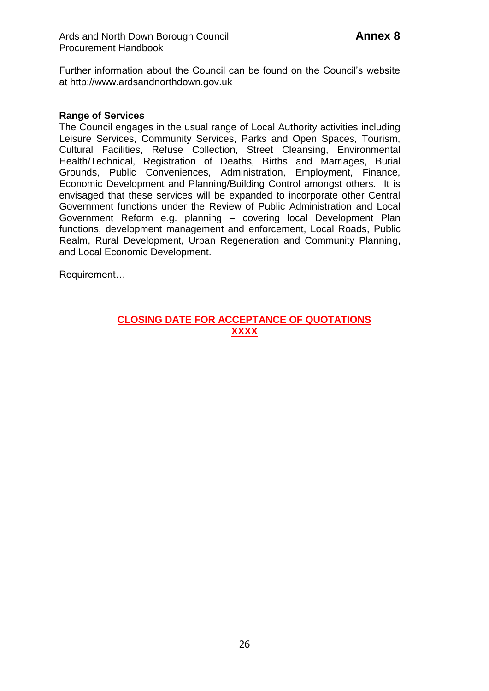Further information about the Council can be found on the Council's website at http://www.ardsandnorthdown.gov.uk

#### **Range of Services**

The Council engages in the usual range of Local Authority activities including Leisure Services, Community Services, Parks and Open Spaces, Tourism, Cultural Facilities, Refuse Collection, Street Cleansing, Environmental Health/Technical, Registration of Deaths, Births and Marriages, Burial Grounds, Public Conveniences, Administration, Employment, Finance, Economic Development and Planning/Building Control amongst others. It is envisaged that these services will be expanded to incorporate other Central Government functions under the Review of Public Administration and Local Government Reform e.g. planning – covering local Development Plan functions, development management and enforcement, Local Roads, Public Realm, Rural Development, Urban Regeneration and Community Planning, and Local Economic Development.

Requirement…

**CLOSING DATE FOR ACCEPTANCE OF QUOTATIONS XXXX**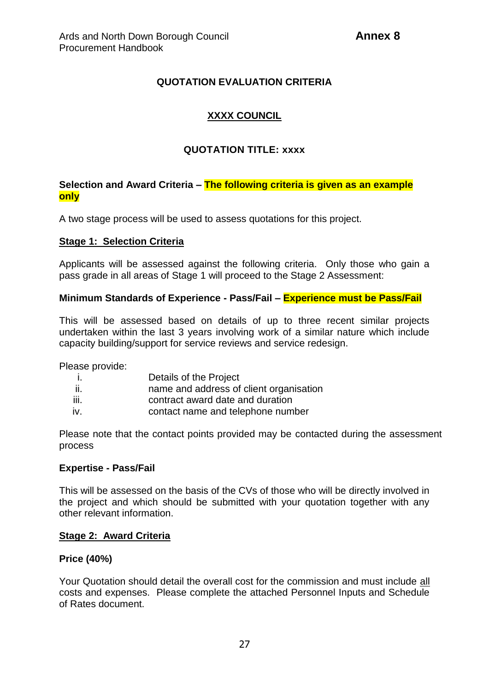### **QUOTATION EVALUATION CRITERIA**

### **XXXX COUNCIL**

### **QUOTATION TITLE: xxxx**

### **Selection and Award Criteria – The following criteria is given as an example only**

A two stage process will be used to assess quotations for this project.

#### **Stage 1: Selection Criteria**

Applicants will be assessed against the following criteria. Only those who gain a pass grade in all areas of Stage 1 will proceed to the Stage 2 Assessment:

### **Minimum Standards of Experience - Pass/Fail – Experience must be Pass/Fail**

This will be assessed based on details of up to three recent similar projects undertaken within the last 3 years involving work of a similar nature which include capacity building/support for service reviews and service redesign.

Please provide:

|     | Details of the Project                  |
|-----|-----------------------------------------|
| ii. | name and address of client organisation |
| Ш.  | contract award date and duration        |
| iv. | contact name and telephone number       |
|     |                                         |

Please note that the contact points provided may be contacted during the assessment process

### **Expertise - Pass/Fail**

This will be assessed on the basis of the CVs of those who will be directly involved in the project and which should be submitted with your quotation together with any other relevant information.

### **Stage 2: Award Criteria**

#### **Price (40%)**

Your Quotation should detail the overall cost for the commission and must include all costs and expenses. Please complete the attached Personnel Inputs and Schedule of Rates document.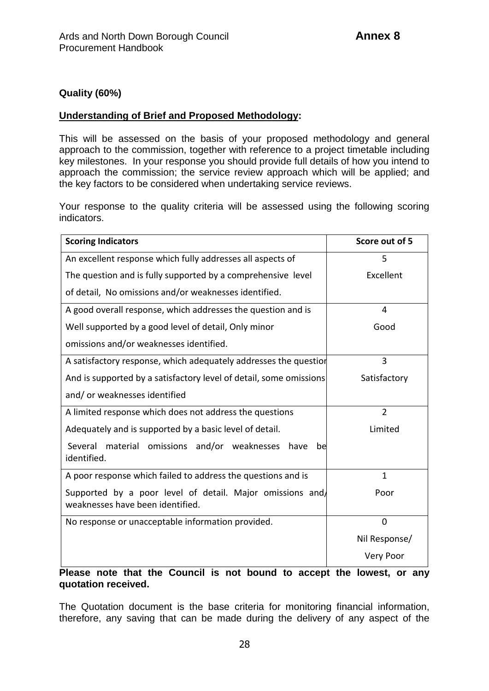### **Quality (60%)**

### **Understanding of Brief and Proposed Methodology:**

This will be assessed on the basis of your proposed methodology and general approach to the commission, together with reference to a project timetable including key milestones. In your response you should provide full details of how you intend to approach the commission; the service review approach which will be applied; and the key factors to be considered when undertaking service reviews.

Your response to the quality criteria will be assessed using the following scoring indicators.

| <b>Scoring Indicators</b>                                                                     | Score out of 5 |
|-----------------------------------------------------------------------------------------------|----------------|
| An excellent response which fully addresses all aspects of                                    | 5              |
| The question and is fully supported by a comprehensive level                                  | Excellent      |
| of detail, No omissions and/or weaknesses identified.                                         |                |
| A good overall response, which addresses the question and is                                  | 4              |
| Well supported by a good level of detail, Only minor                                          | Good           |
| omissions and/or weaknesses identified.                                                       |                |
| A satisfactory response, which adequately addresses the question                              | 3              |
| And is supported by a satisfactory level of detail, some omissions                            | Satisfactory   |
| and/or weaknesses identified                                                                  |                |
| A limited response which does not address the questions                                       | $\overline{2}$ |
| Adequately and is supported by a basic level of detail.                                       | Limited        |
| material omissions and/or weaknesses<br>Several<br>have<br>be<br>identified.                  |                |
| A poor response which failed to address the questions and is                                  | 1              |
| Supported by a poor level of detail. Major omissions and/<br>weaknesses have been identified. | Poor           |
| No response or unacceptable information provided.                                             | 0              |
|                                                                                               | Nil Response/  |
|                                                                                               | Very Poor      |

**Please note that the Council is not bound to accept the lowest, or any quotation received.**

The Quotation document is the base criteria for monitoring financial information, therefore, any saving that can be made during the delivery of any aspect of the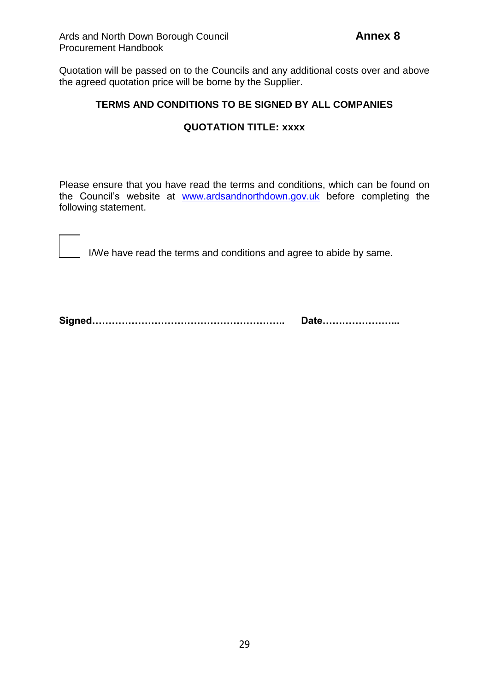Quotation will be passed on to the Councils and any additional costs over and above the agreed quotation price will be borne by the Supplier.

### **TERMS AND CONDITIONS TO BE SIGNED BY ALL COMPANIES**

### **QUOTATION TITLE: xxxx**

Please ensure that you have read the terms and conditions, which can be found on the Council's website at [www.ardsandnorthdown.gov.uk](http://www.ardsandnorthdown.gov.uk/) before completing the following statement.

I/We have read the terms and conditions and agree to abide by same.

**Signed………………………………………………….. Date…………………...**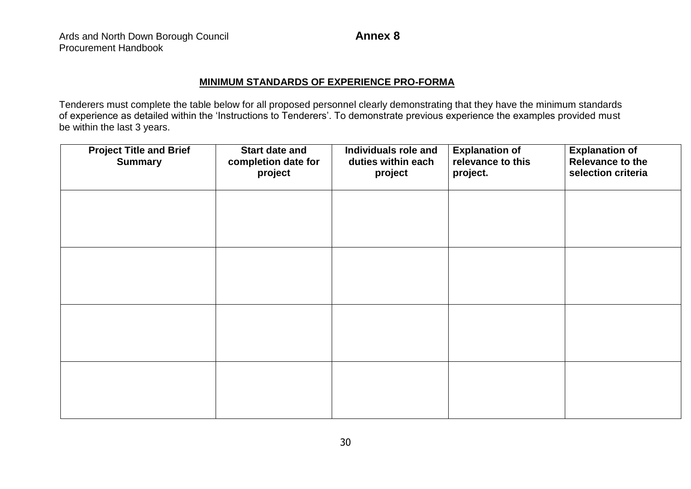Ards and North Down Borough Council **Annex 8** Procurement Handbook

### **MINIMUM STANDARDS OF EXPERIENCE PRO-FORMA**

Tenderers must complete the table below for all proposed personnel clearly demonstrating that they have the minimum standards of experience as detailed within the 'Instructions to Tenderers'. To demonstrate previous experience the examples provided must be within the last 3 years.

| <b>Project Title and Brief</b><br><b>Summary</b> | <b>Start date and</b><br>completion date for<br>project | Individuals role and<br>duties within each<br>project | <b>Explanation of</b><br>relevance to this<br>project. | <b>Explanation of</b><br>Relevance to the<br>selection criteria |
|--------------------------------------------------|---------------------------------------------------------|-------------------------------------------------------|--------------------------------------------------------|-----------------------------------------------------------------|
|                                                  |                                                         |                                                       |                                                        |                                                                 |
|                                                  |                                                         |                                                       |                                                        |                                                                 |
|                                                  |                                                         |                                                       |                                                        |                                                                 |
|                                                  |                                                         |                                                       |                                                        |                                                                 |
|                                                  |                                                         |                                                       |                                                        |                                                                 |
|                                                  |                                                         |                                                       |                                                        |                                                                 |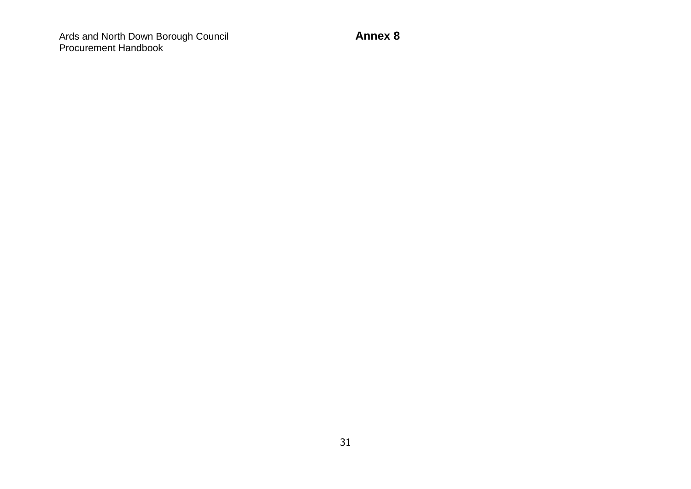Ards and North Down Borough Council **Annex 8 Annex 8** Procurement Handbook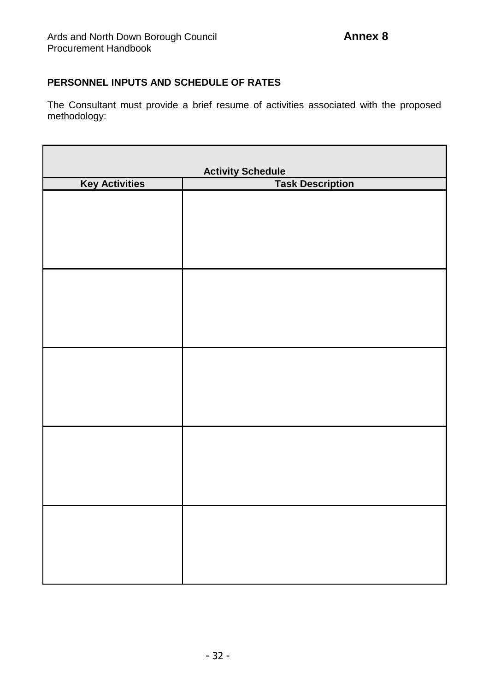### **PERSONNEL INPUTS AND SCHEDULE OF RATES**

The Consultant must provide a brief resume of activities associated with the proposed methodology:

<span id="page-31-0"></span>

| <b>Activity Schedule</b>                         |  |  |  |  |  |
|--------------------------------------------------|--|--|--|--|--|
| <b>Key Activities</b><br><b>Task Description</b> |  |  |  |  |  |
|                                                  |  |  |  |  |  |
|                                                  |  |  |  |  |  |
|                                                  |  |  |  |  |  |
|                                                  |  |  |  |  |  |
|                                                  |  |  |  |  |  |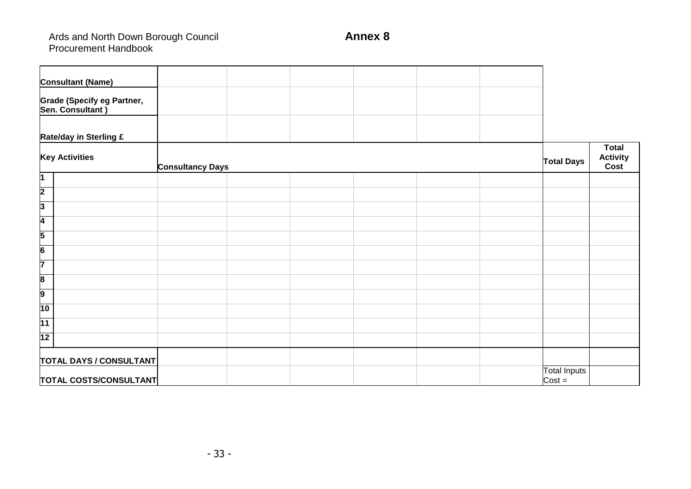### Ards and North Down Borough Council **Annex 8 Annex 8** Procurement Handbook

<span id="page-32-0"></span>

| <b>Consultant (Name)</b>                        |                         |  |  |                                 |                                         |
|-------------------------------------------------|-------------------------|--|--|---------------------------------|-----------------------------------------|
| Grade (Specify eg Partner,<br>Sen. Consultant ) |                         |  |  |                                 |                                         |
| Rate/day in Sterling £                          |                         |  |  |                                 |                                         |
| <b>Key Activities</b>                           | <b>Consultancy Days</b> |  |  | <b>Total Days</b>               | <b>Total</b><br><b>Activity</b><br>Cost |
| 1                                               |                         |  |  |                                 |                                         |
| $\overline{2}$                                  |                         |  |  |                                 |                                         |
| $\overline{3}$                                  |                         |  |  |                                 |                                         |
| Ā                                               |                         |  |  |                                 |                                         |
| $\overline{5}$                                  |                         |  |  |                                 |                                         |
| $\overline{6}$                                  |                         |  |  |                                 |                                         |
| 7                                               |                         |  |  |                                 |                                         |
| $\overline{\mathbf{8}}$                         |                         |  |  |                                 |                                         |
| 9                                               |                         |  |  |                                 |                                         |
| $\overline{10}$                                 |                         |  |  |                                 |                                         |
| $\overline{11}$                                 |                         |  |  |                                 |                                         |
| $\overline{12}$                                 |                         |  |  |                                 |                                         |
| TOTAL DAYS / CONSULTANT                         |                         |  |  |                                 |                                         |
| TOTAL COSTS/CONSULTANT                          |                         |  |  | <b>Total Inputs</b><br>$Cost =$ |                                         |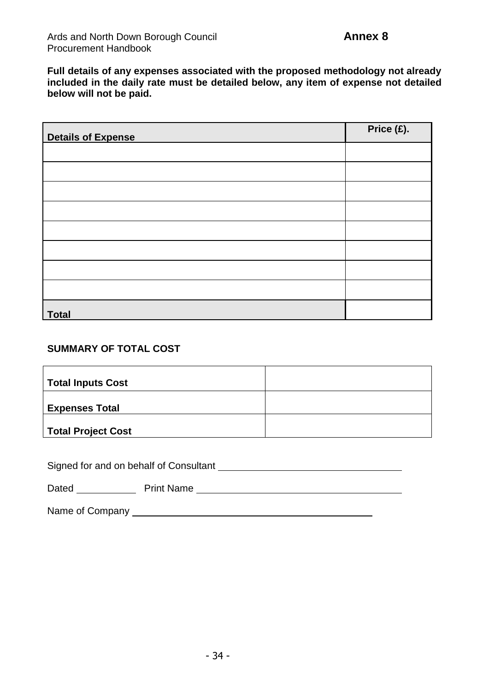**Full details of any expenses associated with the proposed methodology not already included in the daily rate must be detailed below, any item of expense not detailed below will not be paid.**

<span id="page-33-0"></span>

| <b>Details of Expense</b> | Price (£). |
|---------------------------|------------|
|                           |            |
|                           |            |
|                           |            |
|                           |            |
|                           |            |
|                           |            |
|                           |            |
|                           |            |
| Total                     |            |

### <span id="page-33-1"></span>**SUMMARY OF TOTAL COST**

| <b>Total Inputs Cost</b>  |  |
|---------------------------|--|
| <b>Expenses Total</b>     |  |
| <b>Total Project Cost</b> |  |

| Signed for and on behalf of Consultant |  |
|----------------------------------------|--|
|                                        |  |

| Dated | <b>Print Name</b> |
|-------|-------------------|
|       |                   |

Name of Company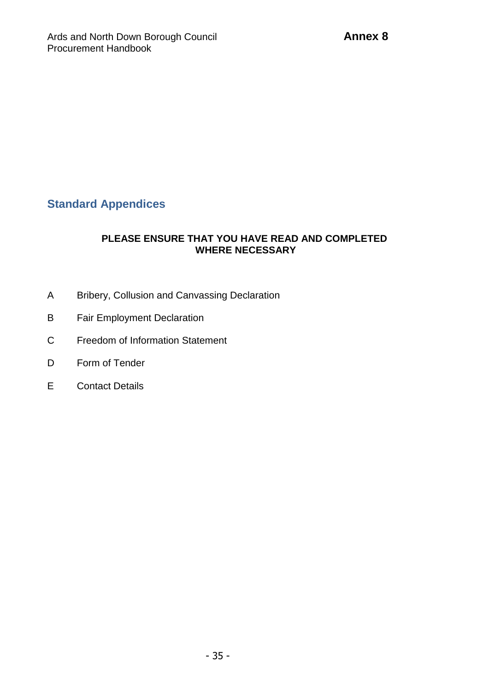# **Standard Appendices**

### **PLEASE ENSURE THAT YOU HAVE READ AND COMPLETED WHERE NECESSARY**

- A Bribery, Collusion and Canvassing Declaration
- B Fair Employment Declaration
- C Freedom of Information Statement
- D Form of Tender
- E Contact Details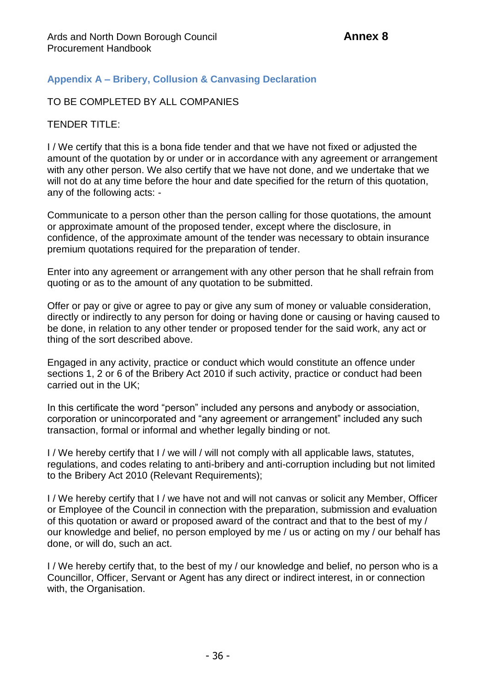### **Appendix A – Bribery, Collusion & Canvasing Declaration**

### TO BE COMPLETED BY ALL COMPANIES

### TENDER TITLE:

I / We certify that this is a bona fide tender and that we have not fixed or adjusted the amount of the quotation by or under or in accordance with any agreement or arrangement with any other person. We also certify that we have not done, and we undertake that we will not do at any time before the hour and date specified for the return of this quotation, any of the following acts: -

Communicate to a person other than the person calling for those quotations, the amount or approximate amount of the proposed tender, except where the disclosure, in confidence, of the approximate amount of the tender was necessary to obtain insurance premium quotations required for the preparation of tender.

Enter into any agreement or arrangement with any other person that he shall refrain from quoting or as to the amount of any quotation to be submitted.

Offer or pay or give or agree to pay or give any sum of money or valuable consideration, directly or indirectly to any person for doing or having done or causing or having caused to be done, in relation to any other tender or proposed tender for the said work, any act or thing of the sort described above.

Engaged in any activity, practice or conduct which would constitute an offence under sections 1, 2 or 6 of the Bribery Act 2010 if such activity, practice or conduct had been carried out in the UK;

In this certificate the word "person" included any persons and anybody or association, corporation or unincorporated and "any agreement or arrangement" included any such transaction, formal or informal and whether legally binding or not.

I / We hereby certify that I / we will / will not comply with all applicable laws, statutes, regulations, and codes relating to anti-bribery and anti-corruption including but not limited to the Bribery Act 2010 (Relevant Requirements);

I / We hereby certify that I / we have not and will not canvas or solicit any Member, Officer or Employee of the Council in connection with the preparation, submission and evaluation of this quotation or award or proposed award of the contract and that to the best of my / our knowledge and belief, no person employed by me / us or acting on my / our behalf has done, or will do, such an act.

I / We hereby certify that, to the best of my / our knowledge and belief, no person who is a Councillor, Officer, Servant or Agent has any direct or indirect interest, in or connection with, the Organisation.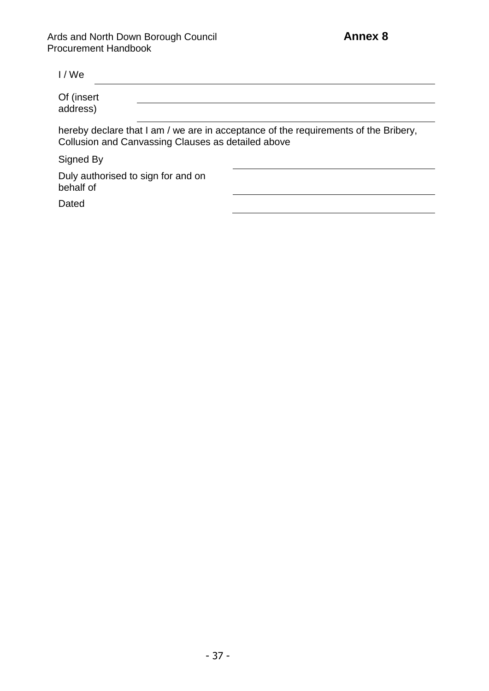Ards and North Down Borough Council **Annex 8** Procurement Handbook

| 1/We                                               |                                                                                     |
|----------------------------------------------------|-------------------------------------------------------------------------------------|
| Of (insert)<br>address)                            |                                                                                     |
| Collusion and Canvassing Clauses as detailed above | hereby declare that I am / we are in acceptance of the requirements of the Bribery, |
| Signed By                                          |                                                                                     |
| Duly authorised to sign for and on<br>behalf of    |                                                                                     |
| Dated                                              |                                                                                     |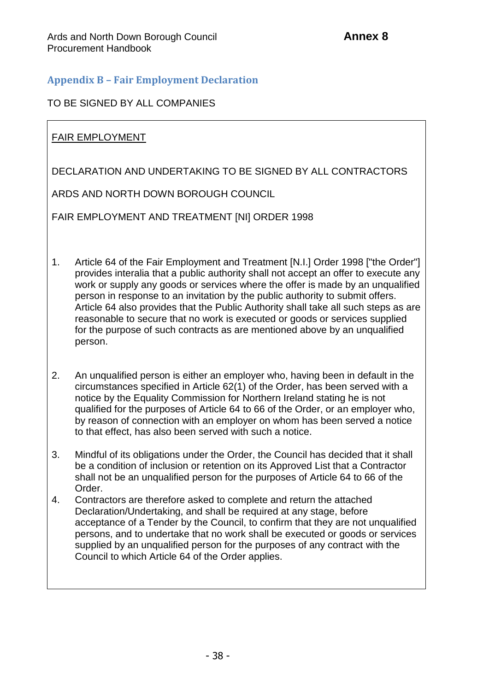## **Appendix B – Fair Employment Declaration**

#### TO BE SIGNED BY ALL COMPANIES

## FAIR EMPLOYMENT

DECLARATION AND UNDERTAKING TO BE SIGNED BY ALL CONTRACTORS

ARDS AND NORTH DOWN BOROUGH COUNCIL

FAIR EMPLOYMENT AND TREATMENT [NI] ORDER 1998

- 1. Article 64 of the Fair Employment and Treatment [N.I.] Order 1998 ["the Order"] provides interalia that a public authority shall not accept an offer to execute any work or supply any goods or services where the offer is made by an unqualified person in response to an invitation by the public authority to submit offers. Article 64 also provides that the Public Authority shall take all such steps as are reasonable to secure that no work is executed or goods or services supplied for the purpose of such contracts as are mentioned above by an unqualified person.
- 2. An unqualified person is either an employer who, having been in default in the circumstances specified in Article 62(1) of the Order, has been served with a notice by the Equality Commission for Northern Ireland stating he is not qualified for the purposes of Article 64 to 66 of the Order, or an employer who, by reason of connection with an employer on whom has been served a notice to that effect, has also been served with such a notice.
- 3. Mindful of its obligations under the Order, the Council has decided that it shall be a condition of inclusion or retention on its Approved List that a Contractor shall not be an unqualified person for the purposes of Article 64 to 66 of the Order.
- 4. Contractors are therefore asked to complete and return the attached Declaration/Undertaking, and shall be required at any stage, before acceptance of a Tender by the Council, to confirm that they are not unqualified persons, and to undertake that no work shall be executed or goods or services supplied by an unqualified person for the purposes of any contract with the Council to which Article 64 of the Order applies.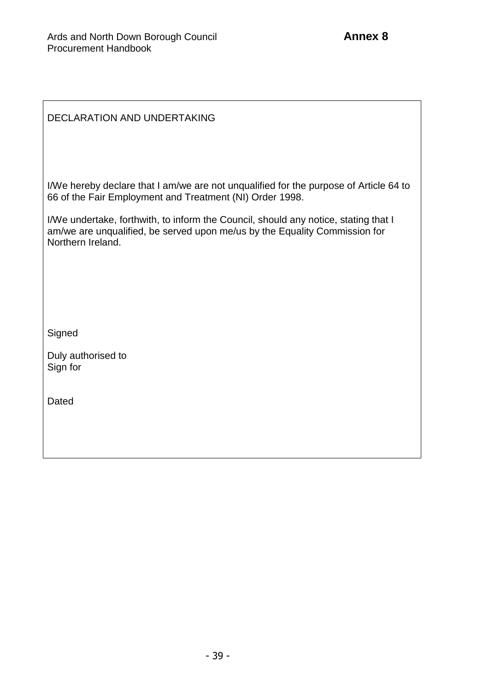## DECLARATION AND UNDERTAKING

I/We hereby declare that I am/we are not unqualified for the purpose of Article 64 to 66 of the Fair Employment and Treatment (NI) Order 1998.

I/We undertake, forthwith, to inform the Council, should any notice, stating that I am/we are unqualified, be served upon me/us by the Equality Commission for Northern Ireland.

**Signed** 

Duly authorised to Sign for

Dated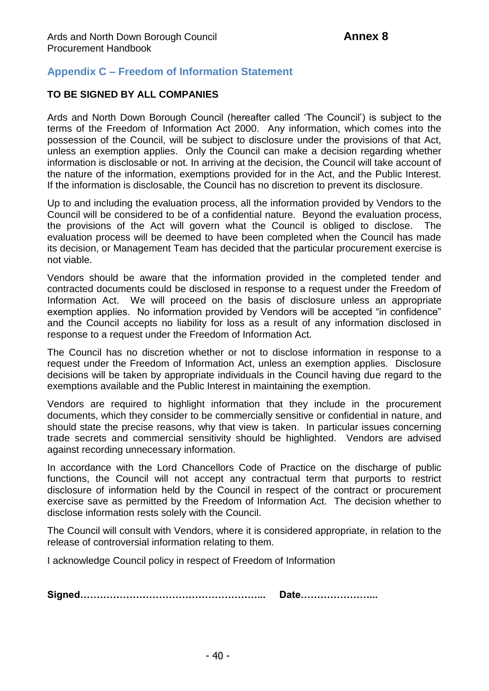## **Appendix C – Freedom of Information Statement**

#### **TO BE SIGNED BY ALL COMPANIES**

Ards and North Down Borough Council (hereafter called 'The Council') is subject to the terms of the Freedom of Information Act 2000. Any information, which comes into the possession of the Council, will be subject to disclosure under the provisions of that Act, unless an exemption applies. Only the Council can make a decision regarding whether information is disclosable or not. In arriving at the decision, the Council will take account of the nature of the information, exemptions provided for in the Act, and the Public Interest. If the information is disclosable, the Council has no discretion to prevent its disclosure.

Up to and including the evaluation process, all the information provided by Vendors to the Council will be considered to be of a confidential nature. Beyond the evaluation process, the provisions of the Act will govern what the Council is obliged to disclose. The evaluation process will be deemed to have been completed when the Council has made its decision, or Management Team has decided that the particular procurement exercise is not viable.

Vendors should be aware that the information provided in the completed tender and contracted documents could be disclosed in response to a request under the Freedom of Information Act. We will proceed on the basis of disclosure unless an appropriate exemption applies. No information provided by Vendors will be accepted "in confidence" and the Council accepts no liability for loss as a result of any information disclosed in response to a request under the Freedom of Information Act.

The Council has no discretion whether or not to disclose information in response to a request under the Freedom of Information Act, unless an exemption applies. Disclosure decisions will be taken by appropriate individuals in the Council having due regard to the exemptions available and the Public Interest in maintaining the exemption.

Vendors are required to highlight information that they include in the procurement documents, which they consider to be commercially sensitive or confidential in nature, and should state the precise reasons, why that view is taken. In particular issues concerning trade secrets and commercial sensitivity should be highlighted. Vendors are advised against recording unnecessary information.

In accordance with the Lord Chancellors Code of Practice on the discharge of public functions, the Council will not accept any contractual term that purports to restrict disclosure of information held by the Council in respect of the contract or procurement exercise save as permitted by the Freedom of Information Act. The decision whether to disclose information rests solely with the Council.

The Council will consult with Vendors, where it is considered appropriate, in relation to the release of controversial information relating to them.

I acknowledge Council policy in respect of Freedom of Information

**Signed………………………………………………... Date…………………...**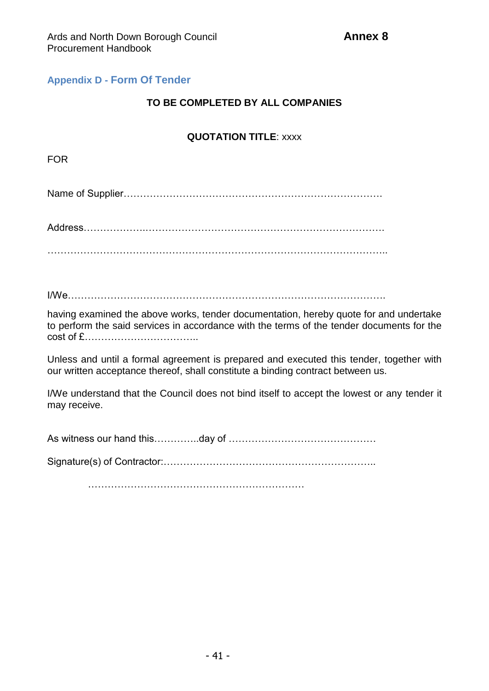## **Appendix D - Form Of Tender**

#### **TO BE COMPLETED BY ALL COMPANIES**

#### **QUOTATION TITLE**: xxxx

FOR

Name of Supplier…………………………………………………………………….

Address……………….……………………………………………………………….

…………………………………………………………………………………………..

I/We…………………………………………………………………………………….

having examined the above works, tender documentation, hereby quote for and undertake to perform the said services in accordance with the terms of the tender documents for the cost of £……………………………..

Unless and until a formal agreement is prepared and executed this tender, together with our written acceptance thereof, shall constitute a binding contract between us.

I/We understand that the Council does not bind itself to accept the lowest or any tender it may receive.

As witness our hand this…………..day of ………………………………………

Signature(s) of Contractor:………………………………………………………..

…………………………………………………………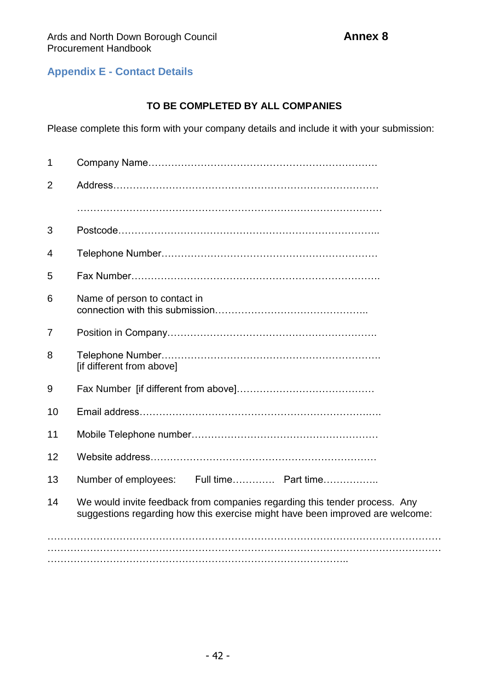## **Appendix E - Contact Details**

## **TO BE COMPLETED BY ALL COMPANIES**

Please complete this form with your company details and include it with your submission:

| 1              |                                                                                                                                                             |
|----------------|-------------------------------------------------------------------------------------------------------------------------------------------------------------|
| $\overline{2}$ |                                                                                                                                                             |
|                |                                                                                                                                                             |
| 3              |                                                                                                                                                             |
| 4              |                                                                                                                                                             |
| 5              |                                                                                                                                                             |
| 6              | Name of person to contact in                                                                                                                                |
| 7              |                                                                                                                                                             |
| 8              | [if different from above]                                                                                                                                   |
| 9              |                                                                                                                                                             |
| 10             |                                                                                                                                                             |
| 11             |                                                                                                                                                             |
| 12             |                                                                                                                                                             |
| 13             | Number of employees: Full time Part time                                                                                                                    |
| 14             | We would invite feedback from companies regarding this tender process. Any<br>suggestions regarding how this exercise might have been improved are welcome: |
|                |                                                                                                                                                             |
|                |                                                                                                                                                             |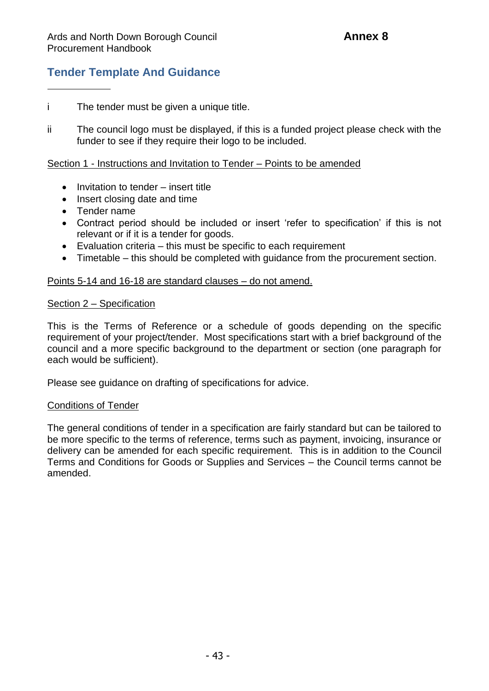## **Tender Template And Guidance**

- i The tender must be given a unique title.
- ii The council logo must be displayed, if this is a funded project please check with the funder to see if they require their logo to be included.

#### Section 1 - Instructions and Invitation to Tender – Points to be amended

- $\bullet$  Invitation to tender insert title
- Insert closing date and time
- Tender name
- Contract period should be included or insert 'refer to specification' if this is not relevant or if it is a tender for goods.
- Evaluation criteria this must be specific to each requirement
- Timetable this should be completed with guidance from the procurement section.

#### Points 5-14 and 16-18 are standard clauses – do not amend.

#### Section 2 – Specification

This is the Terms of Reference or a schedule of goods depending on the specific requirement of your project/tender. Most specifications start with a brief background of the council and a more specific background to the department or section (one paragraph for each would be sufficient).

Please see guidance on drafting of specifications for advice.

#### Conditions of Tender

The general conditions of tender in a specification are fairly standard but can be tailored to be more specific to the terms of reference, terms such as payment, invoicing, insurance or delivery can be amended for each specific requirement. This is in addition to the Council Terms and Conditions for Goods or Supplies and Services – the Council terms cannot be amended.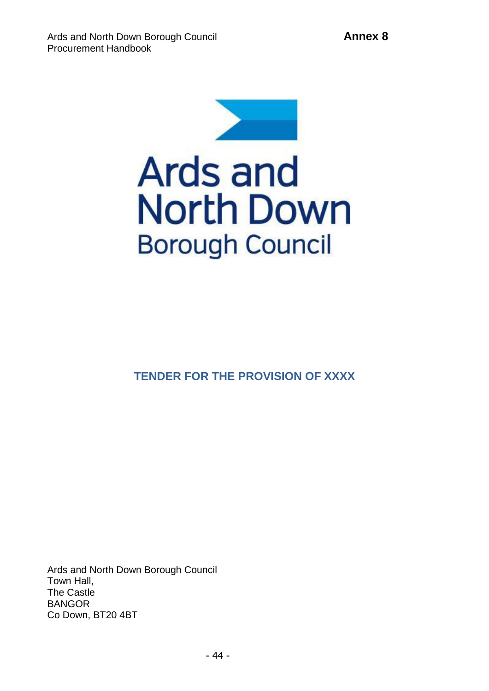

# **Ards and North Down Borough Council**

**TENDER FOR THE PROVISION OF XXXX**

Ards and North Down Borough Council Town Hall, The Castle BANGOR Co Down, BT20 4BT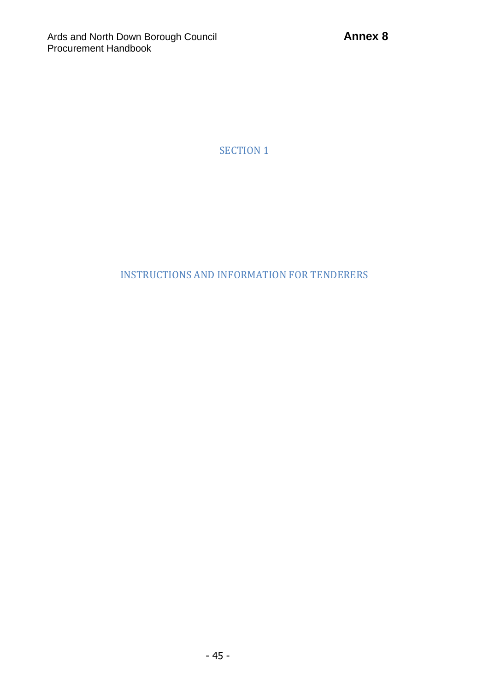SECTION 1

# INSTRUCTIONS AND INFORMATION FOR TENDERERS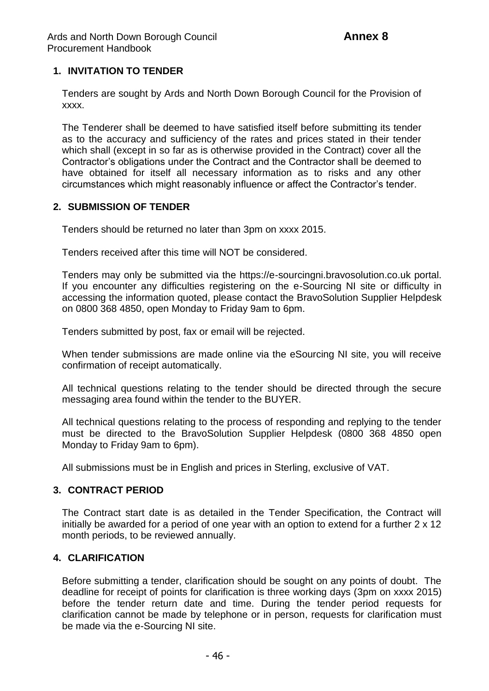## **1. INVITATION TO TENDER**

Tenders are sought by Ards and North Down Borough Council for the Provision of xxxx.

The Tenderer shall be deemed to have satisfied itself before submitting its tender as to the accuracy and sufficiency of the rates and prices stated in their tender which shall (except in so far as is otherwise provided in the Contract) cover all the Contractor's obligations under the Contract and the Contractor shall be deemed to have obtained for itself all necessary information as to risks and any other circumstances which might reasonably influence or affect the Contractor's tender.

### **2. SUBMISSION OF TENDER**

Tenders should be returned no later than 3pm on xxxx 2015.

Tenders received after this time will NOT be considered.

Tenders may only be submitted via the https://e-sourcingni.bravosolution.co.uk portal. If you encounter any difficulties registering on the e-Sourcing NI site or difficulty in accessing the information quoted, please contact the BravoSolution Supplier Helpdesk on 0800 368 4850, open Monday to Friday 9am to 6pm.

Tenders submitted by post, fax or email will be rejected.

When tender submissions are made online via the eSourcing NI site, you will receive confirmation of receipt automatically.

All technical questions relating to the tender should be directed through the secure messaging area found within the tender to the BUYER.

All technical questions relating to the process of responding and replying to the tender must be directed to the BravoSolution Supplier Helpdesk (0800 368 4850 open Monday to Friday 9am to 6pm).

All submissions must be in English and prices in Sterling, exclusive of VAT.

#### **3. CONTRACT PERIOD**

The Contract start date is as detailed in the Tender Specification, the Contract will initially be awarded for a period of one year with an option to extend for a further 2 x 12 month periods, to be reviewed annually.

#### **4. CLARIFICATION**

Before submitting a tender, clarification should be sought on any points of doubt. The deadline for receipt of points for clarification is three working days (3pm on xxxx 2015) before the tender return date and time. During the tender period requests for clarification cannot be made by telephone or in person, requests for clarification must be made via the e-Sourcing NI site.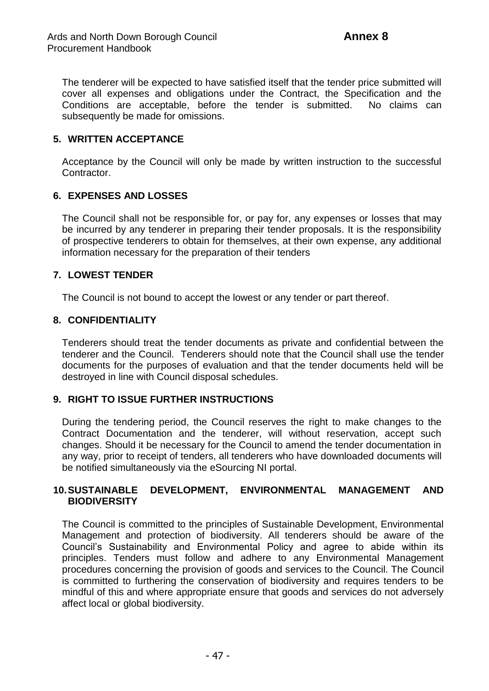The tenderer will be expected to have satisfied itself that the tender price submitted will cover all expenses and obligations under the Contract, the Specification and the Conditions are acceptable, before the tender is submitted. No claims can subsequently be made for omissions.

#### **5. WRITTEN ACCEPTANCE**

Acceptance by the Council will only be made by written instruction to the successful Contractor.

#### **6. EXPENSES AND LOSSES**

The Council shall not be responsible for, or pay for, any expenses or losses that may be incurred by any tenderer in preparing their tender proposals. It is the responsibility of prospective tenderers to obtain for themselves, at their own expense, any additional information necessary for the preparation of their tenders

#### **7. LOWEST TENDER**

The Council is not bound to accept the lowest or any tender or part thereof.

#### **8. CONFIDENTIALITY**

Tenderers should treat the tender documents as private and confidential between the tenderer and the Council. Tenderers should note that the Council shall use the tender documents for the purposes of evaluation and that the tender documents held will be destroyed in line with Council disposal schedules.

### **9. RIGHT TO ISSUE FURTHER INSTRUCTIONS**

During the tendering period, the Council reserves the right to make changes to the Contract Documentation and the tenderer, will without reservation, accept such changes. Should it be necessary for the Council to amend the tender documentation in any way, prior to receipt of tenders, all tenderers who have downloaded documents will be notified simultaneously via the eSourcing NI portal.

#### **10.SUSTAINABLE DEVELOPMENT, ENVIRONMENTAL MANAGEMENT AND BIODIVERSITY**

The Council is committed to the principles of Sustainable Development, Environmental Management and protection of biodiversity. All tenderers should be aware of the Council's Sustainability and Environmental Policy and agree to abide within its principles. Tenders must follow and adhere to any Environmental Management procedures concerning the provision of goods and services to the Council. The Council is committed to furthering the conservation of biodiversity and requires tenders to be mindful of this and where appropriate ensure that goods and services do not adversely affect local or global biodiversity.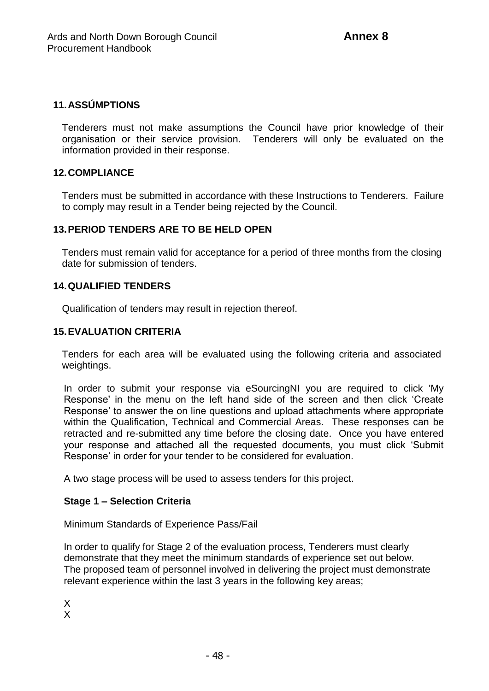## **11.ASSÚMPTIONS**

Tenderers must not make assumptions the Council have prior knowledge of their organisation or their service provision. Tenderers will only be evaluated on the information provided in their response.

#### **12.COMPLIANCE**

Tenders must be submitted in accordance with these Instructions to Tenderers. Failure to comply may result in a Tender being rejected by the Council.

#### **13.PERIOD TENDERS ARE TO BE HELD OPEN**

Tenders must remain valid for acceptance for a period of three months from the closing date for submission of tenders.

#### **14.QUALIFIED TENDERS**

Qualification of tenders may result in rejection thereof.

#### **15.EVALUATION CRITERIA**

Tenders for each area will be evaluated using the following criteria and associated weightings.

In order to submit your response via eSourcingNI you are required to click 'My Response' in the menu on the left hand side of the screen and then click 'Create Response' to answer the on line questions and upload attachments where appropriate within the Qualification, Technical and Commercial Areas. These responses can be retracted and re-submitted any time before the closing date. Once you have entered your response and attached all the requested documents, you must click 'Submit Response' in order for your tender to be considered for evaluation.

A two stage process will be used to assess tenders for this project.

#### **Stage 1 – Selection Criteria**

Minimum Standards of Experience Pass/Fail

In order to qualify for Stage 2 of the evaluation process, Tenderers must clearly demonstrate that they meet the minimum standards of experience set out below. The proposed team of personnel involved in delivering the project must demonstrate relevant experience within the last 3 years in the following key areas;

X

X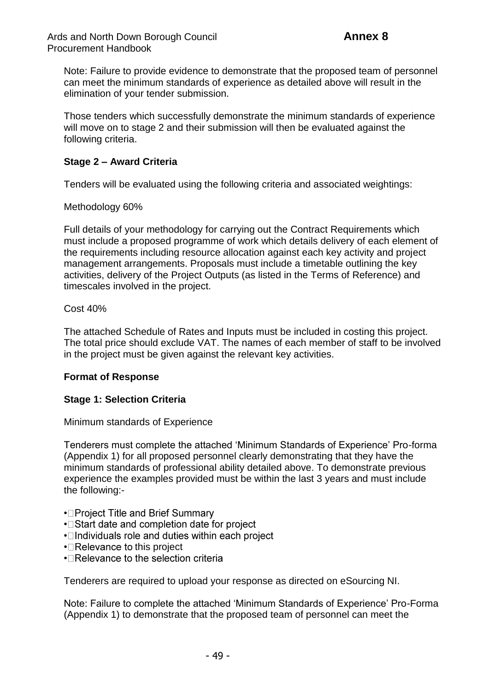Note: Failure to provide evidence to demonstrate that the proposed team of personnel can meet the minimum standards of experience as detailed above will result in the elimination of your tender submission.

Those tenders which successfully demonstrate the minimum standards of experience will move on to stage 2 and their submission will then be evaluated against the following criteria.

#### **Stage 2 – Award Criteria**

Tenders will be evaluated using the following criteria and associated weightings:

#### Methodology 60%

Full details of your methodology for carrying out the Contract Requirements which must include a proposed programme of work which details delivery of each element of the requirements including resource allocation against each key activity and project management arrangements. Proposals must include a timetable outlining the key activities, delivery of the Project Outputs (as listed in the Terms of Reference) and timescales involved in the project.

#### Cost 40%

The attached Schedule of Rates and Inputs must be included in costing this project. The total price should exclude VAT. The names of each member of staff to be involved in the project must be given against the relevant key activities.

#### **Format of Response**

#### **Stage 1: Selection Criteria**

#### Minimum standards of Experience

Tenderers must complete the attached 'Minimum Standards of Experience' Pro-forma (Appendix 1) for all proposed personnel clearly demonstrating that they have the minimum standards of professional ability detailed above. To demonstrate previous experience the examples provided must be within the last 3 years and must include the following:-

- **Project Title and Brief Summary**
- Start date and completion date for project
- Individuals role and duties within each project
- $\cdot$  Relevance to this project
- Relevance to the selection criteria

Tenderers are required to upload your response as directed on eSourcing NI.

Note: Failure to complete the attached 'Minimum Standards of Experience' Pro-Forma (Appendix 1) to demonstrate that the proposed team of personnel can meet the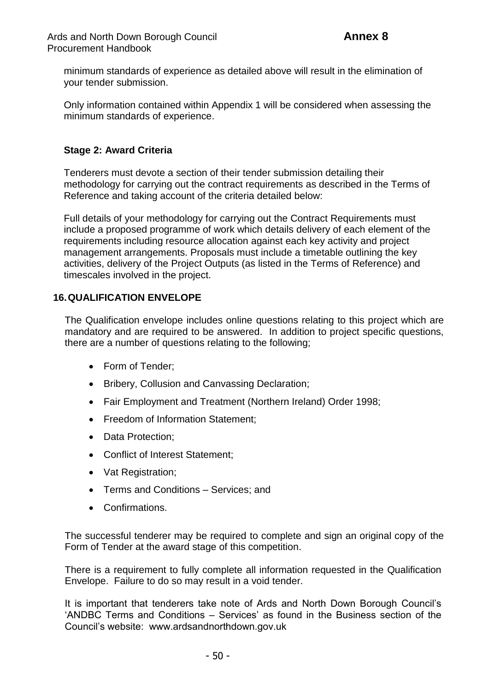minimum standards of experience as detailed above will result in the elimination of your tender submission.

Only information contained within Appendix 1 will be considered when assessing the minimum standards of experience.

#### **Stage 2: Award Criteria**

Tenderers must devote a section of their tender submission detailing their methodology for carrying out the contract requirements as described in the Terms of Reference and taking account of the criteria detailed below:

Full details of your methodology for carrying out the Contract Requirements must include a proposed programme of work which details delivery of each element of the requirements including resource allocation against each key activity and project management arrangements. Proposals must include a timetable outlining the key activities, delivery of the Project Outputs (as listed in the Terms of Reference) and timescales involved in the project.

#### **16.QUALIFICATION ENVELOPE**

The Qualification envelope includes online questions relating to this project which are mandatory and are required to be answered. In addition to project specific questions, there are a number of questions relating to the following;

- Form of Tender:
- Bribery, Collusion and Canvassing Declaration;
- Fair Employment and Treatment (Northern Ireland) Order 1998;
- Freedom of Information Statement:
- Data Protection;
- Conflict of Interest Statement;
- Vat Registration;
- Terms and Conditions Services; and
- Confirmations.

The successful tenderer may be required to complete and sign an original copy of the Form of Tender at the award stage of this competition.

There is a requirement to fully complete all information requested in the Qualification Envelope. Failure to do so may result in a void tender.

It is important that tenderers take note of Ards and North Down Borough Council's 'ANDBC Terms and Conditions – Services' as found in the Business section of the Council's website: www.ardsandnorthdown.gov.uk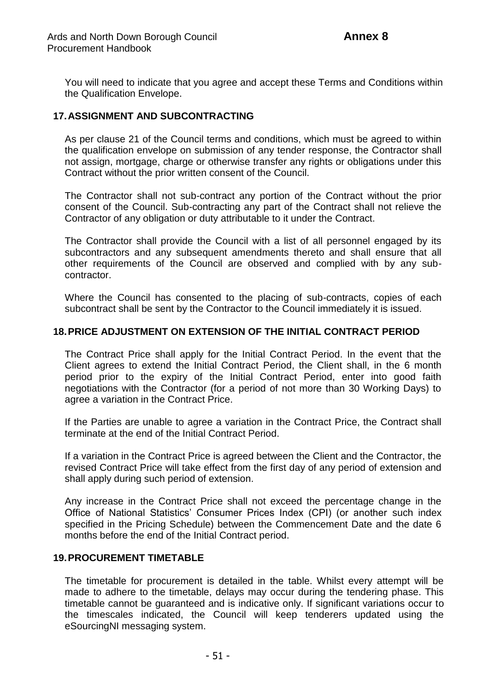You will need to indicate that you agree and accept these Terms and Conditions within the Qualification Envelope.

#### **17.ASSIGNMENT AND SUBCONTRACTING**

As per clause 21 of the Council terms and conditions, which must be agreed to within the qualification envelope on submission of any tender response, the Contractor shall not assign, mortgage, charge or otherwise transfer any rights or obligations under this Contract without the prior written consent of the Council.

The Contractor shall not sub-contract any portion of the Contract without the prior consent of the Council. Sub-contracting any part of the Contract shall not relieve the Contractor of any obligation or duty attributable to it under the Contract.

The Contractor shall provide the Council with a list of all personnel engaged by its subcontractors and any subsequent amendments thereto and shall ensure that all other requirements of the Council are observed and complied with by any subcontractor.

Where the Council has consented to the placing of sub-contracts, copies of each subcontract shall be sent by the Contractor to the Council immediately it is issued.

#### **18.PRICE ADJUSTMENT ON EXTENSION OF THE INITIAL CONTRACT PERIOD**

The Contract Price shall apply for the Initial Contract Period. In the event that the Client agrees to extend the Initial Contract Period, the Client shall, in the 6 month period prior to the expiry of the Initial Contract Period, enter into good faith negotiations with the Contractor (for a period of not more than 30 Working Days) to agree a variation in the Contract Price.

If the Parties are unable to agree a variation in the Contract Price, the Contract shall terminate at the end of the Initial Contract Period.

If a variation in the Contract Price is agreed between the Client and the Contractor, the revised Contract Price will take effect from the first day of any period of extension and shall apply during such period of extension.

Any increase in the Contract Price shall not exceed the percentage change in the Office of National Statistics' Consumer Prices Index (CPI) (or another such index specified in the Pricing Schedule) between the Commencement Date and the date 6 months before the end of the Initial Contract period.

#### **19.PROCUREMENT TIMETABLE**

The timetable for procurement is detailed in the table. Whilst every attempt will be made to adhere to the timetable, delays may occur during the tendering phase. This timetable cannot be guaranteed and is indicative only. If significant variations occur to the timescales indicated, the Council will keep tenderers updated using the eSourcingNI messaging system.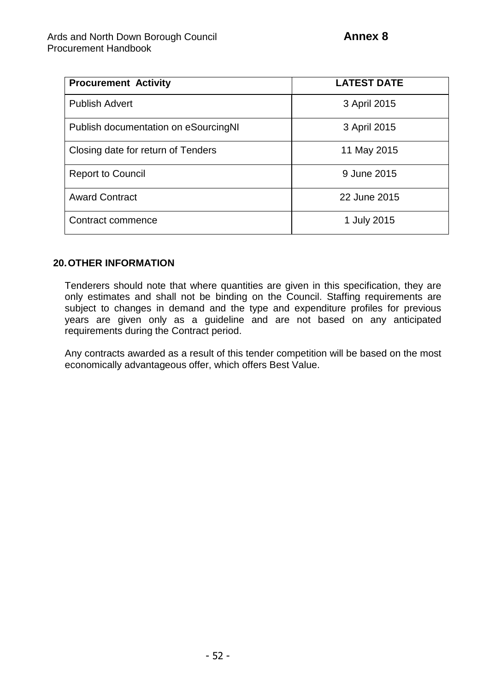| <b>Procurement Activity</b>          | <b>LATEST DATE</b> |
|--------------------------------------|--------------------|
| <b>Publish Advert</b>                | 3 April 2015       |
| Publish documentation on eSourcingNI | 3 April 2015       |
| Closing date for return of Tenders   | 11 May 2015        |
| <b>Report to Council</b>             | 9 June 2015        |
| <b>Award Contract</b>                | 22 June 2015       |
| Contract commence                    | 1 July 2015        |

### **20.OTHER INFORMATION**

Tenderers should note that where quantities are given in this specification, they are only estimates and shall not be binding on the Council. Staffing requirements are subject to changes in demand and the type and expenditure profiles for previous years are given only as a guideline and are not based on any anticipated requirements during the Contract period.

Any contracts awarded as a result of this tender competition will be based on the most economically advantageous offer, which offers Best Value.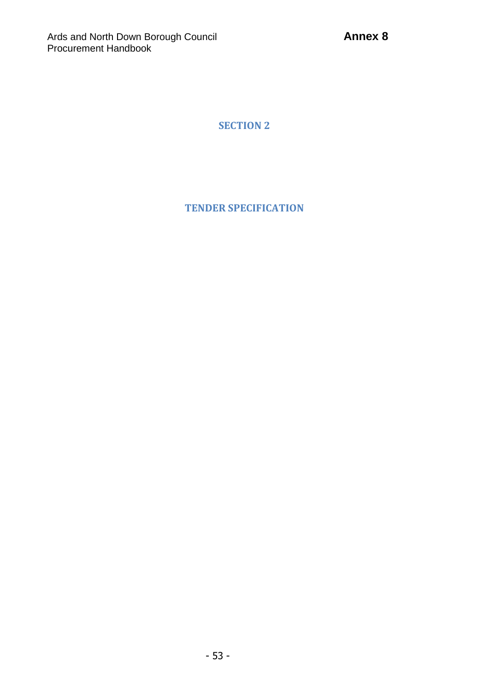**SECTION 2**

## **TENDER SPECIFICATION**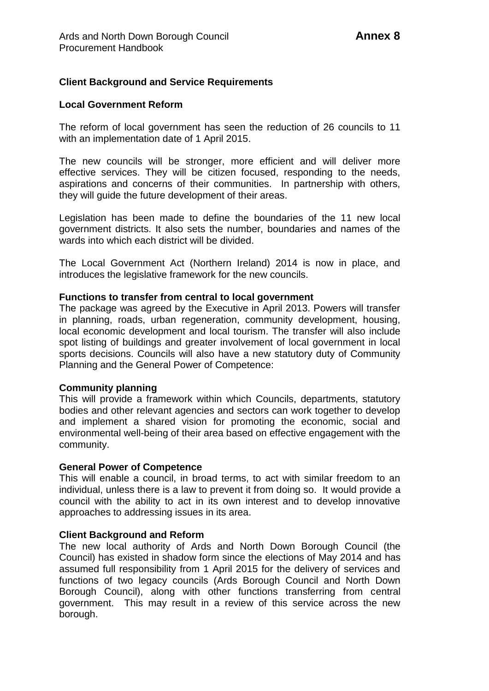#### **Client Background and Service Requirements**

#### **Local Government Reform**

The reform of local government has seen the reduction of 26 councils to 11 with an implementation date of 1 April 2015.

The new councils will be stronger, more efficient and will deliver more effective services. They will be citizen focused, responding to the needs, aspirations and concerns of their communities. In partnership with others, they will guide the future development of their areas.

Legislation has been made to define the boundaries of the 11 new local government districts. It also sets the number, boundaries and names of the wards into which each district will be divided.

The Local Government Act (Northern Ireland) 2014 is now in place, and introduces the legislative framework for the new councils.

#### **Functions to transfer from central to local government**

The package was agreed by the Executive in April 2013. Powers will transfer in planning, roads, urban regeneration, community development, housing, local economic development and local tourism. The transfer will also include spot listing of buildings and greater involvement of local government in local sports decisions. Councils will also have a new statutory duty of Community Planning and the General Power of Competence:

#### **Community planning**

This will provide a framework within which Councils, departments, statutory bodies and other relevant agencies and sectors can work together to develop and implement a shared vision for promoting the economic, social and environmental well-being of their area based on effective engagement with the community.

#### **General Power of Competence**

This will enable a council, in broad terms, to act with similar freedom to an individual, unless there is a law to prevent it from doing so. It would provide a council with the ability to act in its own interest and to develop innovative approaches to addressing issues in its area.

#### **Client Background and Reform**

The new local authority of Ards and North Down Borough Council (the Council) has existed in shadow form since the elections of May 2014 and has assumed full responsibility from 1 April 2015 for the delivery of services and functions of two legacy councils (Ards Borough Council and North Down Borough Council), along with other functions transferring from central government. This may result in a review of this service across the new borough.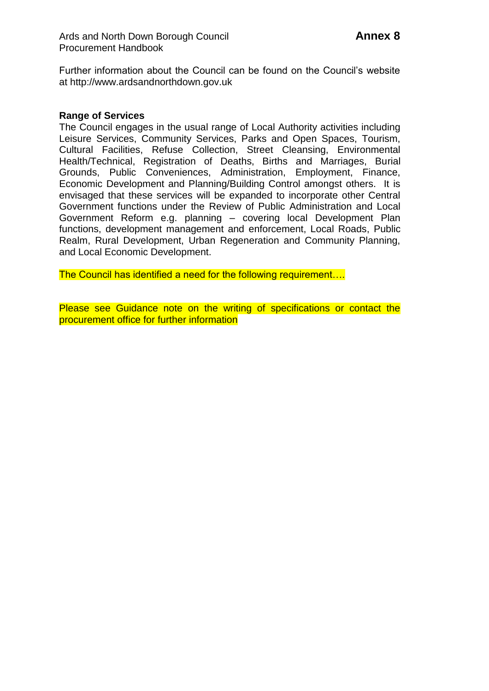Further information about the Council can be found on the Council's website at http://www.ardsandnorthdown.gov.uk

#### **Range of Services**

The Council engages in the usual range of Local Authority activities including Leisure Services, Community Services, Parks and Open Spaces, Tourism, Cultural Facilities, Refuse Collection, Street Cleansing, Environmental Health/Technical, Registration of Deaths, Births and Marriages, Burial Grounds, Public Conveniences, Administration, Employment, Finance, Economic Development and Planning/Building Control amongst others. It is envisaged that these services will be expanded to incorporate other Central Government functions under the Review of Public Administration and Local Government Reform e.g. planning – covering local Development Plan functions, development management and enforcement, Local Roads, Public Realm, Rural Development, Urban Regeneration and Community Planning, and Local Economic Development.

The Council has identified a need for the following requirement….

Please see Guidance note on the writing of specifications or contact the procurement office for further information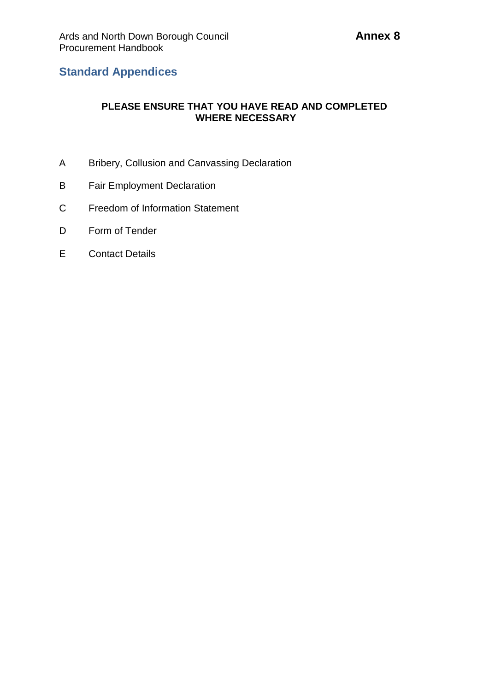## **Standard Appendices**

## **PLEASE ENSURE THAT YOU HAVE READ AND COMPLETED WHERE NECESSARY**

- A Bribery, Collusion and Canvassing Declaration
- B Fair Employment Declaration
- C Freedom of Information Statement
- D Form of Tender
- E Contact Details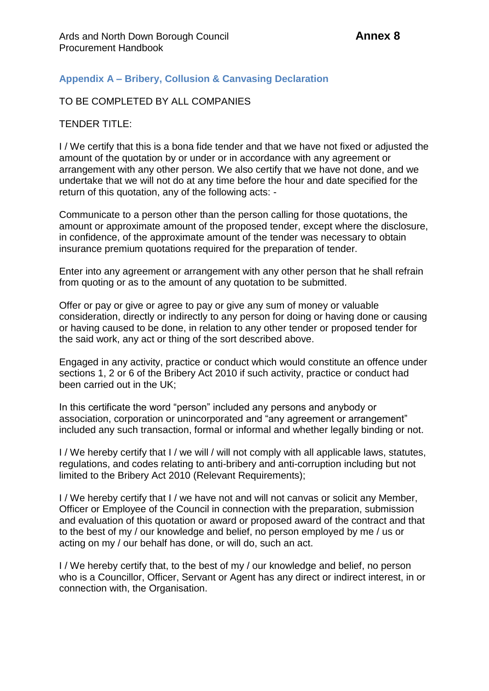#### **Appendix A – Bribery, Collusion & Canvasing Declaration**

#### TO BE COMPLETED BY ALL COMPANIES

#### TENDER TITLE:

I / We certify that this is a bona fide tender and that we have not fixed or adjusted the amount of the quotation by or under or in accordance with any agreement or arrangement with any other person. We also certify that we have not done, and we undertake that we will not do at any time before the hour and date specified for the return of this quotation, any of the following acts: -

Communicate to a person other than the person calling for those quotations, the amount or approximate amount of the proposed tender, except where the disclosure, in confidence, of the approximate amount of the tender was necessary to obtain insurance premium quotations required for the preparation of tender.

Enter into any agreement or arrangement with any other person that he shall refrain from quoting or as to the amount of any quotation to be submitted.

Offer or pay or give or agree to pay or give any sum of money or valuable consideration, directly or indirectly to any person for doing or having done or causing or having caused to be done, in relation to any other tender or proposed tender for the said work, any act or thing of the sort described above.

Engaged in any activity, practice or conduct which would constitute an offence under sections 1, 2 or 6 of the Bribery Act 2010 if such activity, practice or conduct had been carried out in the UK;

In this certificate the word "person" included any persons and anybody or association, corporation or unincorporated and "any agreement or arrangement" included any such transaction, formal or informal and whether legally binding or not.

I / We hereby certify that I / we will / will not comply with all applicable laws, statutes, regulations, and codes relating to anti-bribery and anti-corruption including but not limited to the Bribery Act 2010 (Relevant Requirements);

I / We hereby certify that I / we have not and will not canvas or solicit any Member, Officer or Employee of the Council in connection with the preparation, submission and evaluation of this quotation or award or proposed award of the contract and that to the best of my / our knowledge and belief, no person employed by me / us or acting on my / our behalf has done, or will do, such an act.

I / We hereby certify that, to the best of my / our knowledge and belief, no person who is a Councillor, Officer, Servant or Agent has any direct or indirect interest, in or connection with, the Organisation.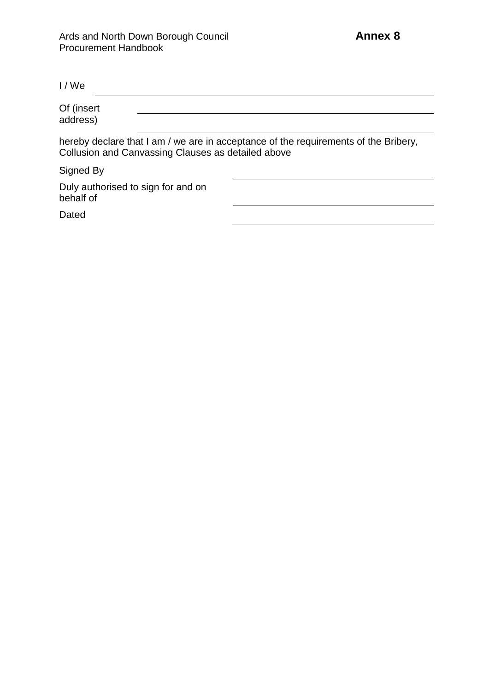| 1/We                                               |                                                                                     |
|----------------------------------------------------|-------------------------------------------------------------------------------------|
| Of (insert)<br>address)                            |                                                                                     |
| Collusion and Canvassing Clauses as detailed above | hereby declare that I am / we are in acceptance of the requirements of the Bribery, |
| Signed By                                          |                                                                                     |
| Duly authorised to sign for and on<br>behalf of    |                                                                                     |
| Dated                                              |                                                                                     |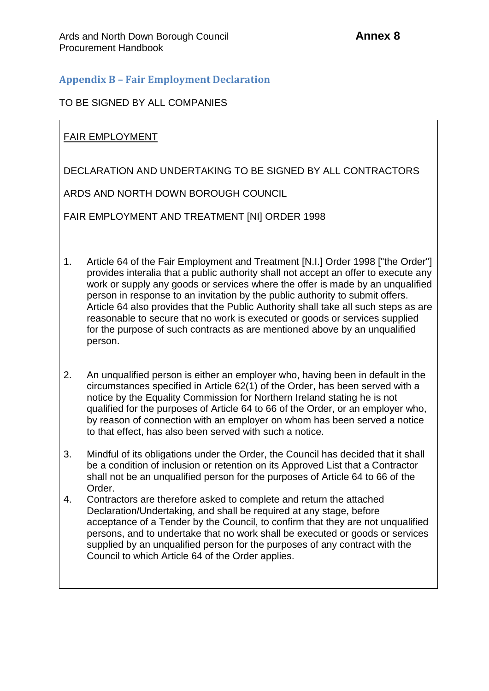## **Appendix B – Fair Employment Declaration**

#### TO BE SIGNED BY ALL COMPANIES

## FAIR EMPLOYMENT

DECLARATION AND UNDERTAKING TO BE SIGNED BY ALL CONTRACTORS

ARDS AND NORTH DOWN BOROUGH COUNCIL

FAIR EMPLOYMENT AND TREATMENT [NI] ORDER 1998

- 1. Article 64 of the Fair Employment and Treatment [N.I.] Order 1998 ["the Order"] provides interalia that a public authority shall not accept an offer to execute any work or supply any goods or services where the offer is made by an unqualified person in response to an invitation by the public authority to submit offers. Article 64 also provides that the Public Authority shall take all such steps as are reasonable to secure that no work is executed or goods or services supplied for the purpose of such contracts as are mentioned above by an unqualified person.
- 2. An unqualified person is either an employer who, having been in default in the circumstances specified in Article 62(1) of the Order, has been served with a notice by the Equality Commission for Northern Ireland stating he is not qualified for the purposes of Article 64 to 66 of the Order, or an employer who, by reason of connection with an employer on whom has been served a notice to that effect, has also been served with such a notice.
- 3. Mindful of its obligations under the Order, the Council has decided that it shall be a condition of inclusion or retention on its Approved List that a Contractor shall not be an unqualified person for the purposes of Article 64 to 66 of the Order.
- 4. Contractors are therefore asked to complete and return the attached Declaration/Undertaking, and shall be required at any stage, before acceptance of a Tender by the Council, to confirm that they are not unqualified persons, and to undertake that no work shall be executed or goods or services supplied by an unqualified person for the purposes of any contract with the Council to which Article 64 of the Order applies.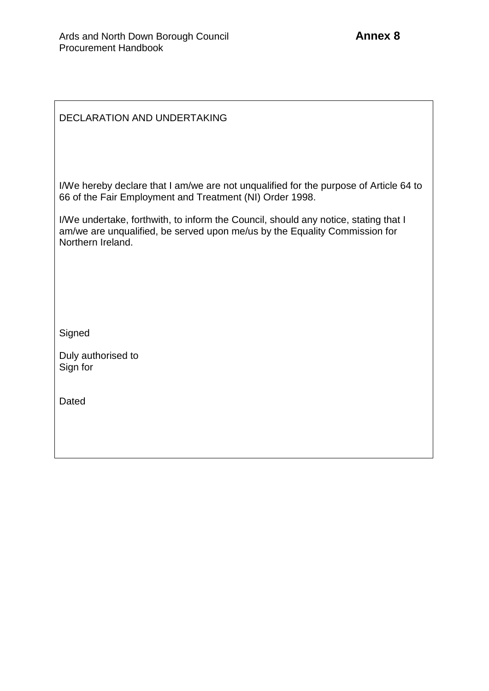## DECLARATION AND UNDERTAKING

I/We hereby declare that I am/we are not unqualified for the purpose of Article 64 to 66 of the Fair Employment and Treatment (NI) Order 1998.

I/We undertake, forthwith, to inform the Council, should any notice, stating that I am/we are unqualified, be served upon me/us by the Equality Commission for Northern Ireland.

**Signed** 

Duly authorised to Sign for

Dated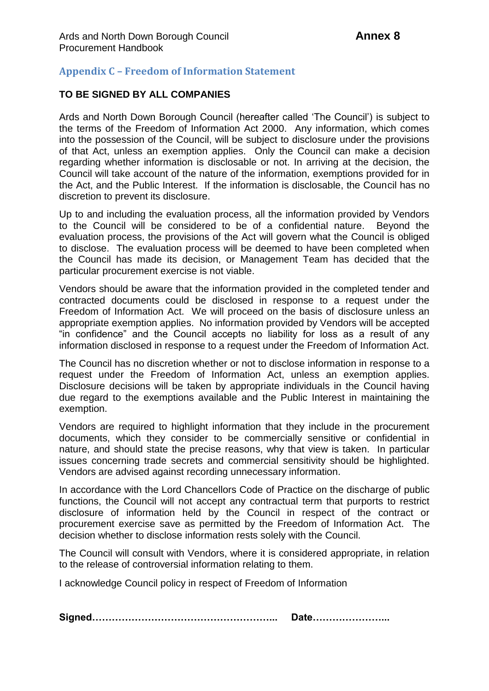#### **Appendix C – Freedom of Information Statement**

#### **TO BE SIGNED BY ALL COMPANIES**

Ards and North Down Borough Council (hereafter called 'The Council') is subject to the terms of the Freedom of Information Act 2000. Any information, which comes into the possession of the Council, will be subject to disclosure under the provisions of that Act, unless an exemption applies. Only the Council can make a decision regarding whether information is disclosable or not. In arriving at the decision, the Council will take account of the nature of the information, exemptions provided for in the Act, and the Public Interest. If the information is disclosable, the Council has no discretion to prevent its disclosure.

Up to and including the evaluation process, all the information provided by Vendors to the Council will be considered to be of a confidential nature. Beyond the evaluation process, the provisions of the Act will govern what the Council is obliged to disclose. The evaluation process will be deemed to have been completed when the Council has made its decision, or Management Team has decided that the particular procurement exercise is not viable.

Vendors should be aware that the information provided in the completed tender and contracted documents could be disclosed in response to a request under the Freedom of Information Act. We will proceed on the basis of disclosure unless an appropriate exemption applies. No information provided by Vendors will be accepted "in confidence" and the Council accepts no liability for loss as a result of any information disclosed in response to a request under the Freedom of Information Act.

The Council has no discretion whether or not to disclose information in response to a request under the Freedom of Information Act, unless an exemption applies. Disclosure decisions will be taken by appropriate individuals in the Council having due regard to the exemptions available and the Public Interest in maintaining the exemption.

Vendors are required to highlight information that they include in the procurement documents, which they consider to be commercially sensitive or confidential in nature, and should state the precise reasons, why that view is taken. In particular issues concerning trade secrets and commercial sensitivity should be highlighted. Vendors are advised against recording unnecessary information.

In accordance with the Lord Chancellors Code of Practice on the discharge of public functions, the Council will not accept any contractual term that purports to restrict disclosure of information held by the Council in respect of the contract or procurement exercise save as permitted by the Freedom of Information Act. The decision whether to disclose information rests solely with the Council.

The Council will consult with Vendors, where it is considered appropriate, in relation to the release of controversial information relating to them.

I acknowledge Council policy in respect of Freedom of Information

|  | Date |
|--|------|
|--|------|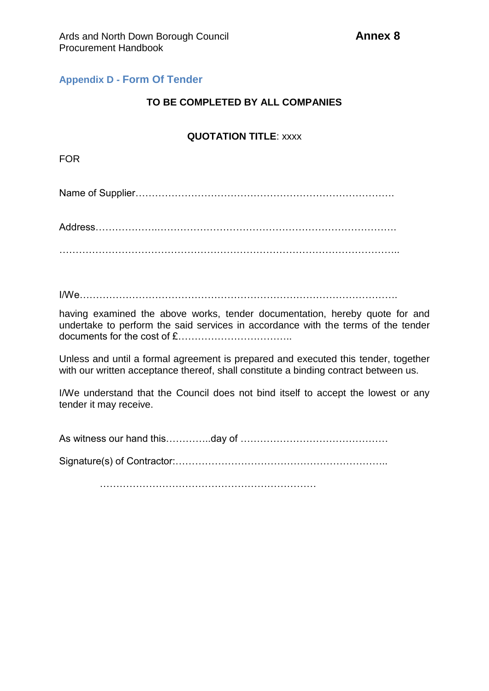## **Appendix D - Form Of Tender**

#### **TO BE COMPLETED BY ALL COMPANIES**

#### **QUOTATION TITLE**: xxxx

FOR

Name of Supplier…………………………………………………………………….

Address……………….……………………………………………………………….

…………………………………………………………………………………………..

I/We…………………………………………………………………………………….

having examined the above works, tender documentation, hereby quote for and undertake to perform the said services in accordance with the terms of the tender documents for the cost of £……………………………..

Unless and until a formal agreement is prepared and executed this tender, together with our written acceptance thereof, shall constitute a binding contract between us.

I/We understand that the Council does not bind itself to accept the lowest or any tender it may receive.

As witness our hand this…………..day of ………………………………………

Signature(s) of Contractor:………………………………………………………..

…………………………………………………………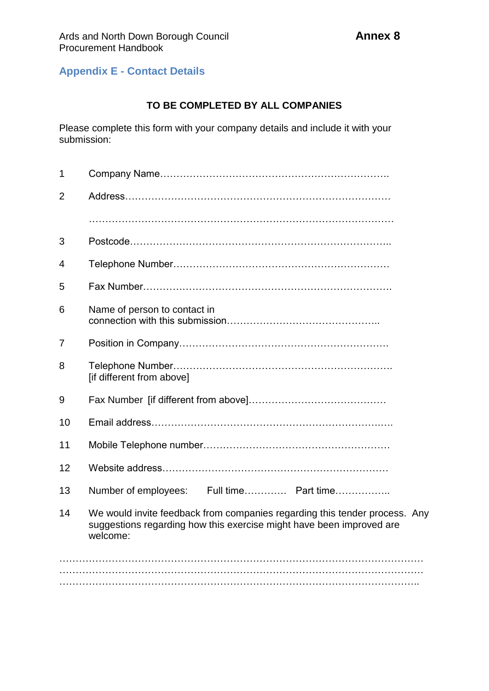## **Appendix E - Contact Details**

## **TO BE COMPLETED BY ALL COMPANIES**

Please complete this form with your company details and include it with your submission:

| 1  |                                                                                                                                                                |
|----|----------------------------------------------------------------------------------------------------------------------------------------------------------------|
| 2  |                                                                                                                                                                |
|    |                                                                                                                                                                |
| 3  |                                                                                                                                                                |
| 4  |                                                                                                                                                                |
| 5  |                                                                                                                                                                |
| 6  | Name of person to contact in                                                                                                                                   |
| 7  |                                                                                                                                                                |
| 8  | [if different from above]                                                                                                                                      |
| 9  |                                                                                                                                                                |
| 10 |                                                                                                                                                                |
| 11 |                                                                                                                                                                |
| 12 |                                                                                                                                                                |
| 13 | Number of employees: Full time Part time                                                                                                                       |
| 14 | We would invite feedback from companies regarding this tender process. Any<br>suggestions regarding how this exercise might have been improved are<br>welcome: |
|    |                                                                                                                                                                |
|    |                                                                                                                                                                |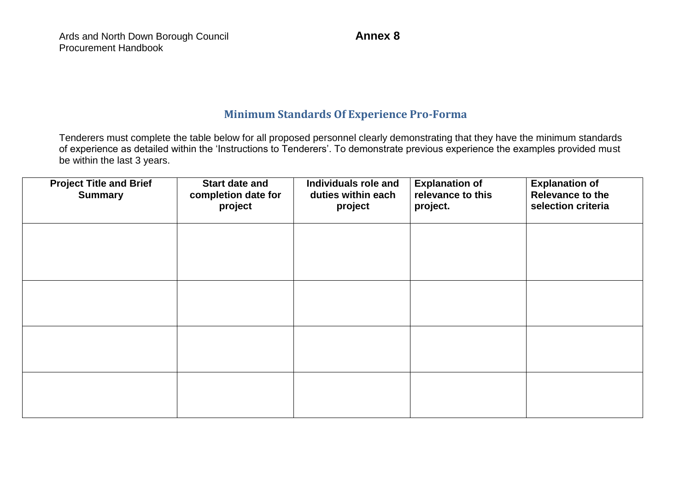Ards and North Down Borough Council **Annex 8** Procurement Handbook

## **Minimum Standards Of Experience Pro-Forma**

Tenderers must complete the table below for all proposed personnel clearly demonstrating that they have the minimum standards of experience as detailed within the 'Instructions to Tenderers'. To demonstrate previous experience the examples provided must be within the last 3 years.

| <b>Project Title and Brief</b><br><b>Summary</b> | <b>Start date and</b><br>completion date for<br>project | Individuals role and<br>duties within each<br>project | <b>Explanation of</b><br>relevance to this<br>project. | <b>Explanation of</b><br><b>Relevance to the</b><br>selection criteria |
|--------------------------------------------------|---------------------------------------------------------|-------------------------------------------------------|--------------------------------------------------------|------------------------------------------------------------------------|
|                                                  |                                                         |                                                       |                                                        |                                                                        |
|                                                  |                                                         |                                                       |                                                        |                                                                        |
|                                                  |                                                         |                                                       |                                                        |                                                                        |
|                                                  |                                                         |                                                       |                                                        |                                                                        |
|                                                  |                                                         |                                                       |                                                        |                                                                        |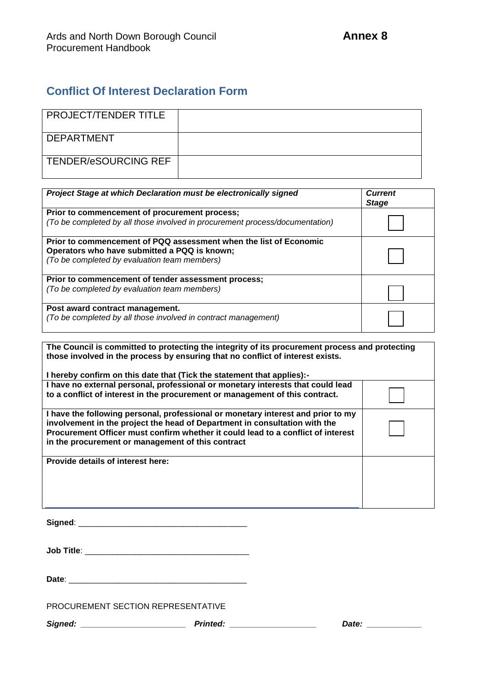# **Conflict Of Interest Declaration Form**

| <b>PROJECT/TENDER TITLE</b> |  |
|-----------------------------|--|
| DEPARTMENT                  |  |
| <b>TENDER/eSOURCING REF</b> |  |

| Project Stage at which Declaration must be electronically signed                                                                                                  | <b>Current</b><br><b>Stage</b> |
|-------------------------------------------------------------------------------------------------------------------------------------------------------------------|--------------------------------|
| Prior to commencement of procurement process;<br>(To be completed by all those involved in procurement process/documentation)                                     |                                |
| Prior to commencement of PQQ assessment when the list of Economic<br>Operators who have submitted a PQQ is known;<br>(To be completed by evaluation team members) |                                |
| Prior to commencement of tender assessment process;<br>(To be completed by evaluation team members)                                                               |                                |
| Post award contract management.<br>(To be completed by all those involved in contract management)                                                                 |                                |

| The Council is committed to protecting the integrity of its procurement process and protecting<br>those involved in the process by ensuring that no conflict of interest exists.                                                                                                                        |  |
|---------------------------------------------------------------------------------------------------------------------------------------------------------------------------------------------------------------------------------------------------------------------------------------------------------|--|
| I hereby confirm on this date that (Tick the statement that applies):-                                                                                                                                                                                                                                  |  |
| I have no external personal, professional or monetary interests that could lead<br>to a conflict of interest in the procurement or management of this contract.                                                                                                                                         |  |
| I have the following personal, professional or monetary interest and prior to my<br>involvement in the project the head of Department in consultation with the<br>Procurement Officer must confirm whether it could lead to a conflict of interest<br>in the procurement or management of this contract |  |
| Provide details of interest here:                                                                                                                                                                                                                                                                       |  |

| Signed: |  |
|---------|--|
|         |  |

| <b>Job Title:</b> |
|-------------------|
|-------------------|

PROCUREMENT SECTION REPRESENTATIVE

*Signed: \_\_\_\_\_\_\_\_\_\_\_\_\_\_\_\_\_\_\_\_\_\_\_ Printed: \_\_\_\_\_\_\_\_\_\_\_\_\_\_\_\_\_\_\_ Date: \_\_\_\_\_\_\_\_\_\_\_\_*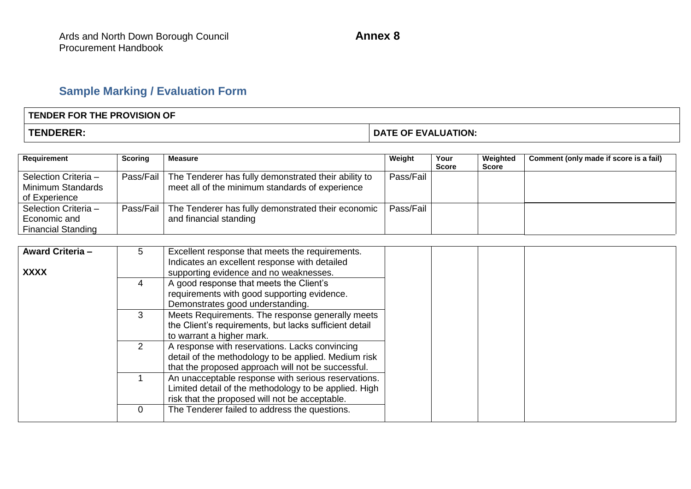# **Sample Marking / Evaluation Form**

| TENDER FOR THE PROVISION OF |                                        |  |  |  |
|-----------------------------|----------------------------------------|--|--|--|
| <b>TENDERER:</b>            | <b>_UATION:</b><br>OF.<br>ΞVΔI.<br>ֹםר |  |  |  |

| Requirement                                                | <b>Scoring</b> | <b>Measure</b>                                                                                          | Weight    | Your         | Weighted     | Comment (only made if score is a fail) |
|------------------------------------------------------------|----------------|---------------------------------------------------------------------------------------------------------|-----------|--------------|--------------|----------------------------------------|
|                                                            |                |                                                                                                         |           | <b>Score</b> | <b>Score</b> |                                        |
| Selection Criteria -<br>Minimum Standards<br>of Experience | Pass/Fail      | The Tenderer has fully demonstrated their ability to<br>meet all of the minimum standards of experience | Pass/Fail |              |              |                                        |
| Selection Criteria -                                       | Pass/Fail      | The Tenderer has fully demonstrated their economic                                                      | Pass/Fail |              |              |                                        |
| Economic and                                               |                | and financial standing                                                                                  |           |              |              |                                        |
| <b>Financial Standing</b>                                  |                |                                                                                                         |           |              |              |                                        |

| <b>Award Criteria -</b> | b.       | Excellent response that meets the requirements.<br>Indicates an excellent response with detailed |  |  |
|-------------------------|----------|--------------------------------------------------------------------------------------------------|--|--|
| XXXX                    |          | supporting evidence and no weaknesses.                                                           |  |  |
|                         | 4        | A good response that meets the Client's                                                          |  |  |
|                         |          | requirements with good supporting evidence.                                                      |  |  |
|                         |          | Demonstrates good understanding.                                                                 |  |  |
|                         | 3        | Meets Requirements. The response generally meets                                                 |  |  |
|                         |          | the Client's requirements, but lacks sufficient detail                                           |  |  |
|                         |          | to warrant a higher mark.                                                                        |  |  |
|                         | 2        | A response with reservations. Lacks convincing                                                   |  |  |
|                         |          | detail of the methodology to be applied. Medium risk                                             |  |  |
|                         |          | that the proposed approach will not be successful.                                               |  |  |
|                         |          | An unacceptable response with serious reservations.                                              |  |  |
|                         |          | Limited detail of the methodology to be applied. High                                            |  |  |
|                         |          | risk that the proposed will not be acceptable.                                                   |  |  |
|                         | $\Omega$ | The Tenderer failed to address the questions.                                                    |  |  |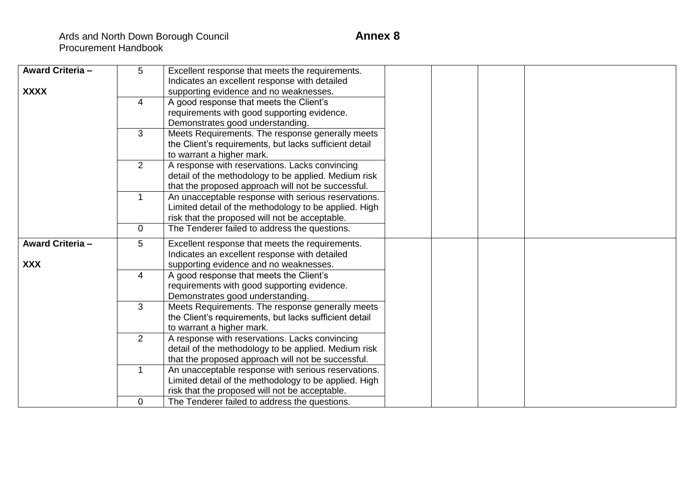| Award Criteria-         | 5              | Excellent response that meets the requirements.        |  |  |
|-------------------------|----------------|--------------------------------------------------------|--|--|
|                         |                | Indicates an excellent response with detailed          |  |  |
| <b>XXXX</b>             |                | supporting evidence and no weaknesses.                 |  |  |
|                         | 4              | A good response that meets the Client's                |  |  |
|                         |                | requirements with good supporting evidence.            |  |  |
|                         |                | Demonstrates good understanding.                       |  |  |
|                         | 3              | Meets Requirements. The response generally meets       |  |  |
|                         |                | the Client's requirements, but lacks sufficient detail |  |  |
|                         |                | to warrant a higher mark.                              |  |  |
|                         | $\overline{2}$ | A response with reservations. Lacks convincing         |  |  |
|                         |                | detail of the methodology to be applied. Medium risk   |  |  |
|                         |                | that the proposed approach will not be successful.     |  |  |
|                         | $\mathbf{1}$   | An unacceptable response with serious reservations.    |  |  |
|                         |                | Limited detail of the methodology to be applied. High  |  |  |
|                         |                | risk that the proposed will not be acceptable.         |  |  |
|                         | 0              | The Tenderer failed to address the questions.          |  |  |
| <b>Award Criteria -</b> | 5              | Excellent response that meets the requirements.        |  |  |
|                         |                | Indicates an excellent response with detailed          |  |  |
| <b>XXX</b>              |                | supporting evidence and no weaknesses.                 |  |  |
|                         | $\overline{4}$ | A good response that meets the Client's                |  |  |
|                         |                | requirements with good supporting evidence.            |  |  |
|                         |                | Demonstrates good understanding.                       |  |  |
|                         | 3              | Meets Requirements. The response generally meets       |  |  |
|                         |                | the Client's requirements, but lacks sufficient detail |  |  |
|                         |                | to warrant a higher mark.                              |  |  |
|                         | $\overline{2}$ | A response with reservations. Lacks convincing         |  |  |
|                         |                | detail of the methodology to be applied. Medium risk   |  |  |
|                         |                | that the proposed approach will not be successful.     |  |  |
|                         | $\mathbf{1}$   | An unacceptable response with serious reservations.    |  |  |
|                         |                | Limited detail of the methodology to be applied. High  |  |  |
|                         |                | risk that the proposed will not be acceptable.         |  |  |
|                         | 0              | The Tenderer failed to address the questions.          |  |  |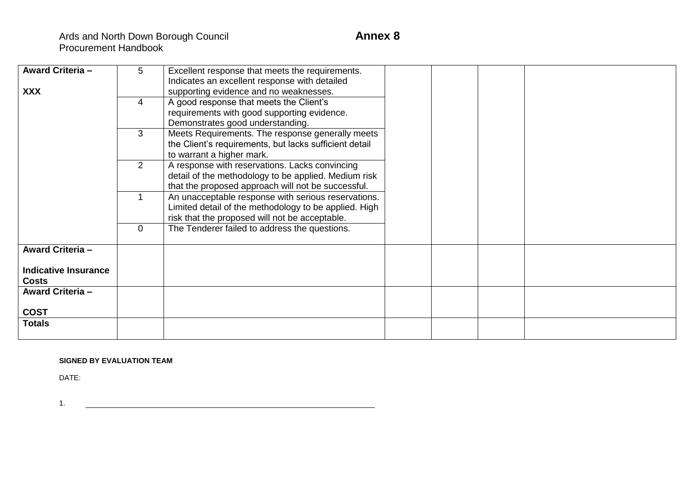| <b>Award Criteria -</b>     | 5              | Excellent response that meets the requirements.        |  |  |  |
|-----------------------------|----------------|--------------------------------------------------------|--|--|--|
|                             |                | Indicates an excellent response with detailed          |  |  |  |
| <b>XXX</b>                  |                | supporting evidence and no weaknesses.                 |  |  |  |
|                             | 4              | A good response that meets the Client's                |  |  |  |
|                             |                | requirements with good supporting evidence.            |  |  |  |
|                             |                | Demonstrates good understanding.                       |  |  |  |
|                             | 3              | Meets Requirements. The response generally meets       |  |  |  |
|                             |                | the Client's requirements, but lacks sufficient detail |  |  |  |
|                             |                | to warrant a higher mark.                              |  |  |  |
|                             | $\overline{2}$ | A response with reservations. Lacks convincing         |  |  |  |
|                             |                | detail of the methodology to be applied. Medium risk   |  |  |  |
|                             |                | that the proposed approach will not be successful.     |  |  |  |
|                             |                | An unacceptable response with serious reservations.    |  |  |  |
|                             |                | Limited detail of the methodology to be applied. High  |  |  |  |
|                             |                | risk that the proposed will not be acceptable.         |  |  |  |
|                             | 0              | The Tenderer failed to address the questions.          |  |  |  |
|                             |                |                                                        |  |  |  |
| <b>Award Criteria -</b>     |                |                                                        |  |  |  |
|                             |                |                                                        |  |  |  |
| <b>Indicative Insurance</b> |                |                                                        |  |  |  |
| <b>Costs</b>                |                |                                                        |  |  |  |
| <b>Award Criteria -</b>     |                |                                                        |  |  |  |
|                             |                |                                                        |  |  |  |
| <b>COST</b>                 |                |                                                        |  |  |  |
| <b>Totals</b>               |                |                                                        |  |  |  |
|                             |                |                                                        |  |  |  |

#### **SIGNED BY EVALUATION TEAM**

DATE:

1.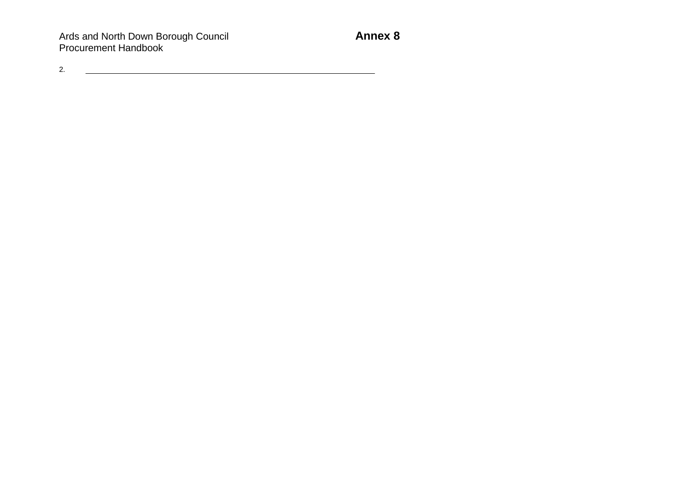Ards and North Down Borough Council **Annex 8** Procurement Handbook

<u> Alexandro de la contrada de la contrada de la contrada de la contrada de la contrada de la contrada de la co</u>

2.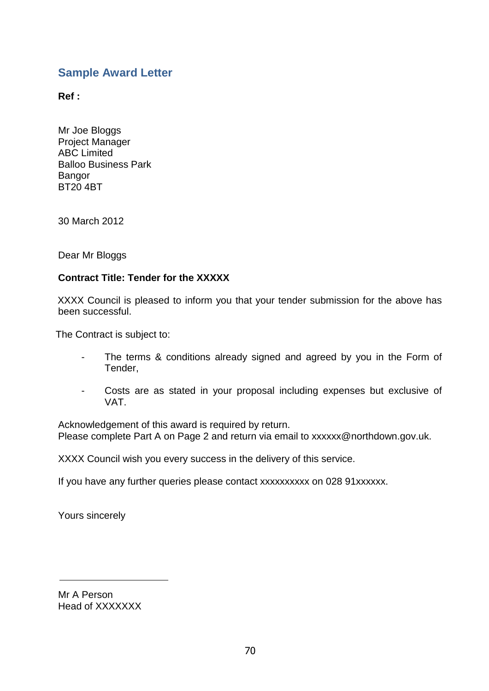## **Sample Award Letter**

**Ref :** 

Mr Joe Bloggs Project Manager ABC Limited Balloo Business Park **Bangor** BT20 4BT

30 March 2012

Dear Mr Bloggs

#### **Contract Title: Tender for the XXXXX**

XXXX Council is pleased to inform you that your tender submission for the above has been successful.

The Contract is subject to:

- The terms & conditions already signed and agreed by you in the Form of Tender,
- Costs are as stated in your proposal including expenses but exclusive of VAT.

Acknowledgement of this award is required by return. Please complete Part A on Page 2 and return via email to xxxxxx@northdown.gov.uk.

XXXX Council wish you every success in the delivery of this service.

If you have any further queries please contact xxxxxxxxxx on 028 91xxxxxx.

Yours sincerely

Mr A Person Head of XXXXXXX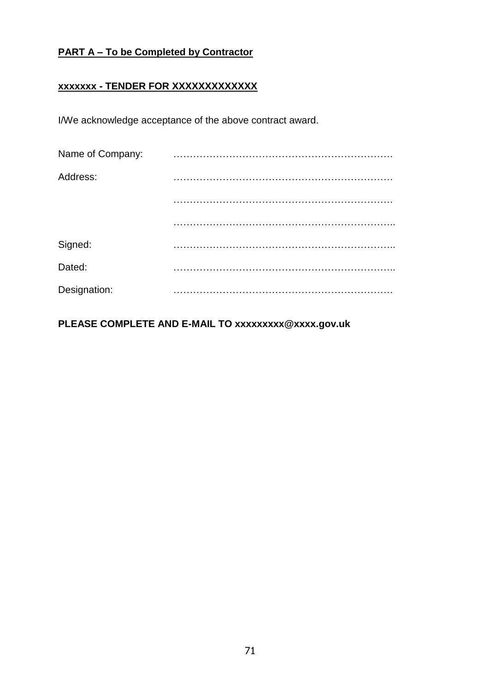## **PART A – To be Completed by Contractor**

## **xxxxxxx - TENDER FOR XXXXXXXXXXXXX**

I/We acknowledge acceptance of the above contract award.

| Name of Company: |  |
|------------------|--|
| Address:         |  |
|                  |  |
|                  |  |
| Signed:          |  |
| Dated:           |  |
| Designation:     |  |

**PLEASE COMPLETE AND E-MAIL TO xxxxxxxxx@xxxx.gov.uk**